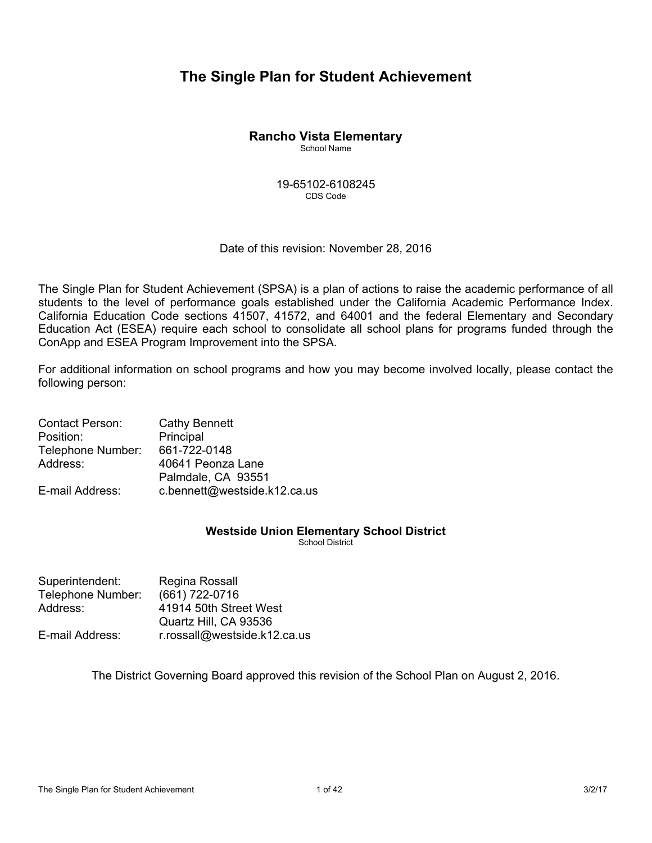# **The Single Plan for Student Achievement**

# **Rancho Vista Elementary**

School Name

19-65102-6108245 CDS Code

## Date of this revision: November 28, 2016

The Single Plan for Student Achievement (SPSA) is a plan of actions to raise the academic performance of all students to the level of performance goals established under the California Academic Performance Index. California Education Code sections 41507, 41572, and 64001 and the federal Elementary and Secondary Education Act (ESEA) require each school to consolidate all school plans for programs funded through the ConApp and ESEA Program Improvement into the SPSA.

For additional information on school programs and how you may become involved locally, please contact the following person:

| <b>Contact Person:</b> | <b>Cathy Bennett</b>         |
|------------------------|------------------------------|
| Position:              | Principal                    |
| Telephone Number:      | 661-722-0148                 |
| Address:               | 40641 Peonza Lane            |
|                        | Palmdale, CA 93551           |
| E-mail Address:        | c.bennett@westside.k12.ca.us |

# **Westside Union Elementary School District**

School District

| Superintendent:   | Regina Rossall               |
|-------------------|------------------------------|
| Telephone Number: | (661) 722-0716               |
| Address:          | 41914 50th Street West       |
|                   | Quartz Hill, CA 93536        |
| E-mail Address:   | r.rossall@westside.k12.ca.us |

The District Governing Board approved this revision of the School Plan on August 2, 2016.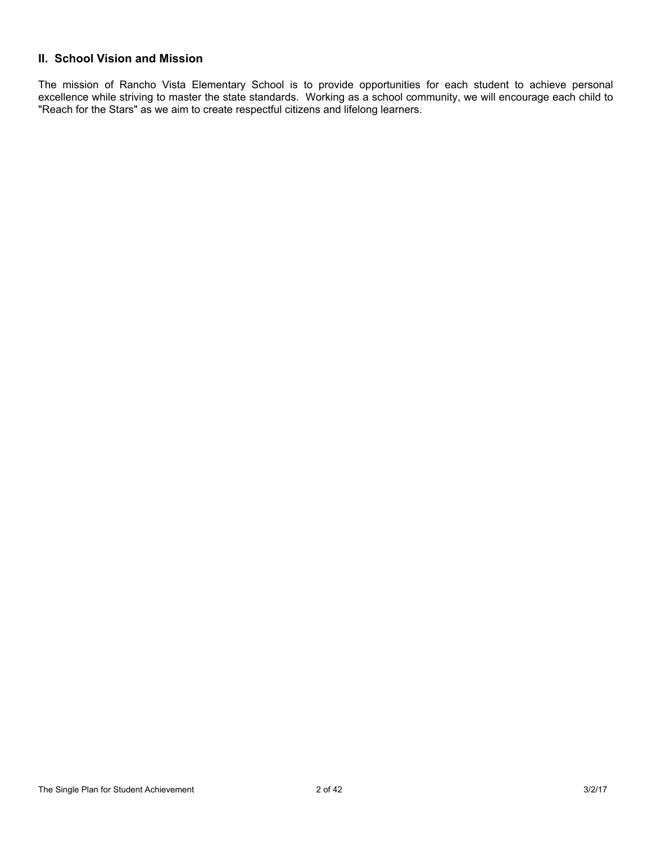# **II. School Vision and Mission**

The mission of Rancho Vista Elementary School is to provide opportunities for each student to achieve personal excellence while striving to master the state standards. Working as a school community, we will encourage each child to "Reach for the Stars" as we aim to create respectful citizens and lifelong learners.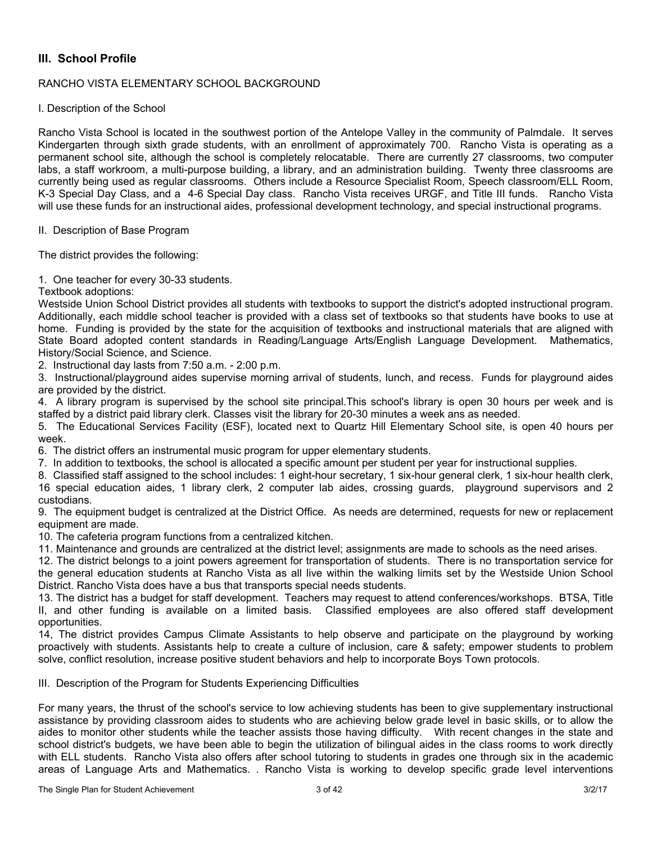# **III. School Profile**

### RANCHO VISTA ELEMENTARY SCHOOL BACKGROUND

I. Description of the School

Rancho Vista School is located in the southwest portion of the Antelope Valley in the community of Palmdale. It serves Kindergarten through sixth grade students, with an enrollment of approximately 700. Rancho Vista is operating as a permanent school site, although the school is completely relocatable. There are currently 27 classrooms, two computer labs, a staff workroom, a multi-purpose building, a library, and an administration building. Twenty three classrooms are currently being used as regular classrooms. Others include a Resource Specialist Room, Speech classroom/ELL Room, K-3 Special Day Class, and a 4-6 Special Day class. Rancho Vista receives URGF, and Title III funds. Rancho Vista will use these funds for an instructional aides, professional development technology, and special instructional programs.

### II. Description of Base Program

The district provides the following:

1. One teacher for every 30-33 students.

Textbook adoptions:

Westside Union School District provides all students with textbooks to support the district's adopted instructional program. Additionally, each middle school teacher is provided with a class set of textbooks so that students have books to use at home. Funding is provided by the state for the acquisition of textbooks and instructional materials that are aligned with State Board adopted content standards in Reading/Language Arts/English Language Development. Mathematics, History/Social Science, and Science.

2. Instructional day lasts from 7:50 a.m. - 2:00 p.m.

3. Instructional/playground aides supervise morning arrival of students, lunch, and recess. Funds for playground aides are provided by the district.

4. A library program is supervised by the school site principal.This school's library is open 30 hours per week and is staffed by a district paid library clerk. Classes visit the library for 20-30 minutes a week ans as needed.

5. The Educational Services Facility (ESF), located next to Quartz Hill Elementary School site, is open 40 hours per week.

6. The district offers an instrumental music program for upper elementary students.

7. In addition to textbooks, the school is allocated a specific amount per student per year for instructional supplies.

8. Classified staff assigned to the school includes: 1 eight-hour secretary, 1 six-hour general clerk, 1 six-hour health clerk, 16 special education aides, 1 library clerk, 2 computer lab aides, crossing guards, playground supervisors and 2 custodians.

9. The equipment budget is centralized at the District Office. As needs are determined, requests for new or replacement equipment are made.

10. The cafeteria program functions from a centralized kitchen.

11. Maintenance and grounds are centralized at the district level; assignments are made to schools as the need arises.

12. The district belongs to a joint powers agreement for transportation of students. There is no transportation service for the general education students at Rancho Vista as all live within the walking limits set by the Westside Union School District. Rancho Vista does have a bus that transports special needs students.

13. The district has a budget for staff development. Teachers may request to attend conferences/workshops. BTSA, Title II, and other funding is available on a limited basis. Classified employees are also offered staff development opportunities.

14, The district provides Campus Climate Assistants to help observe and participate on the playground by working proactively with students. Assistants help to create a culture of inclusion, care & safety; empower students to problem solve, conflict resolution, increase positive student behaviors and help to incorporate Boys Town protocols.

III. Description of the Program for Students Experiencing Difficulties

For many years, the thrust of the school's service to low achieving students has been to give supplementary instructional assistance by providing classroom aides to students who are achieving below grade level in basic skills, or to allow the aides to monitor other students while the teacher assists those having difficulty. With recent changes in the state and school district's budgets, we have been able to begin the utilization of bilingual aides in the class rooms to work directly with ELL students. Rancho Vista also offers after school tutoring to students in grades one through six in the academic areas of Language Arts and Mathematics. . Rancho Vista is working to develop specific grade level interventions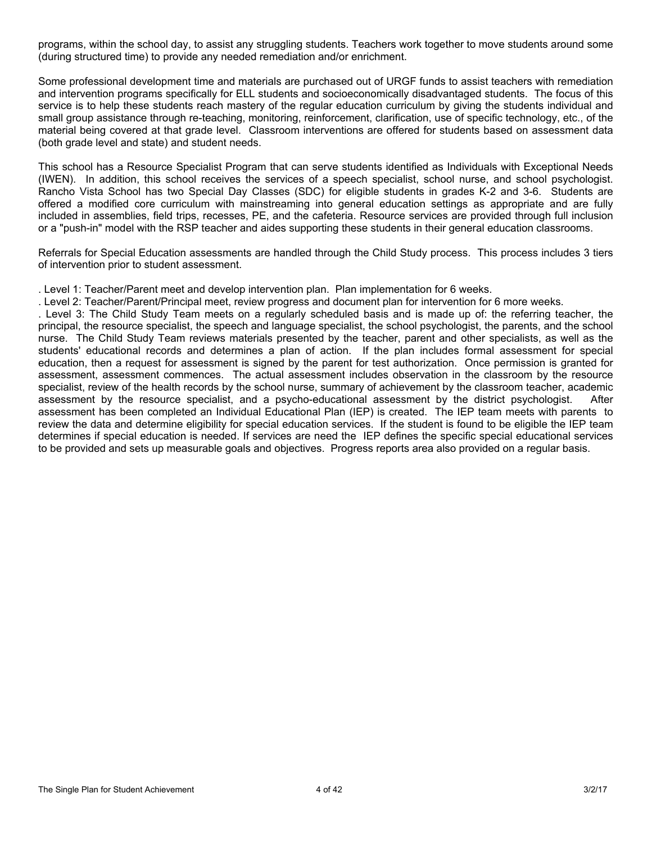programs, within the school day, to assist any struggling students. Teachers work together to move students around some (during structured time) to provide any needed remediation and/or enrichment.

Some professional development time and materials are purchased out of URGF funds to assist teachers with remediation and intervention programs specifically for ELL students and socioeconomically disadvantaged students. The focus of this service is to help these students reach mastery of the regular education curriculum by giving the students individual and small group assistance through re-teaching, monitoring, reinforcement, clarification, use of specific technology, etc., of the material being covered at that grade level. Classroom interventions are offered for students based on assessment data (both grade level and state) and student needs.

This school has a Resource Specialist Program that can serve students identified as Individuals with Exceptional Needs (IWEN). In addition, this school receives the services of a speech specialist, school nurse, and school psychologist. Rancho Vista School has two Special Day Classes (SDC) for eligible students in grades K-2 and 3-6. Students are offered a modified core curriculum with mainstreaming into general education settings as appropriate and are fully included in assemblies, field trips, recesses, PE, and the cafeteria. Resource services are provided through full inclusion or a "push-in" model with the RSP teacher and aides supporting these students in their general education classrooms.

Referrals for Special Education assessments are handled through the Child Study process. This process includes 3 tiers of intervention prior to student assessment.

. Level 1: Teacher/Parent meet and develop intervention plan. Plan implementation for 6 weeks.

. Level 2: Teacher/Parent/Principal meet, review progress and document plan for intervention for 6 more weeks.

. Level 3: The Child Study Team meets on a regularly scheduled basis and is made up of: the referring teacher, the principal, the resource specialist, the speech and language specialist, the school psychologist, the parents, and the school nurse. The Child Study Team reviews materials presented by the teacher, parent and other specialists, as well as the students' educational records and determines a plan of action. If the plan includes formal assessment for special education, then a request for assessment is signed by the parent for test authorization. Once permission is granted for assessment, assessment commences. The actual assessment includes observation in the classroom by the resource specialist, review of the health records by the school nurse, summary of achievement by the classroom teacher, academic assessment by the resource specialist, and a psycho-educational assessment by the district psychologist. After assessment has been completed an Individual Educational Plan (IEP) is created. The IEP team meets with parents to review the data and determine eligibility for special education services. If the student is found to be eligible the IEP team determines if special education is needed. If services are need the IEP defines the specific special educational services to be provided and sets up measurable goals and objectives. Progress reports area also provided on a regular basis.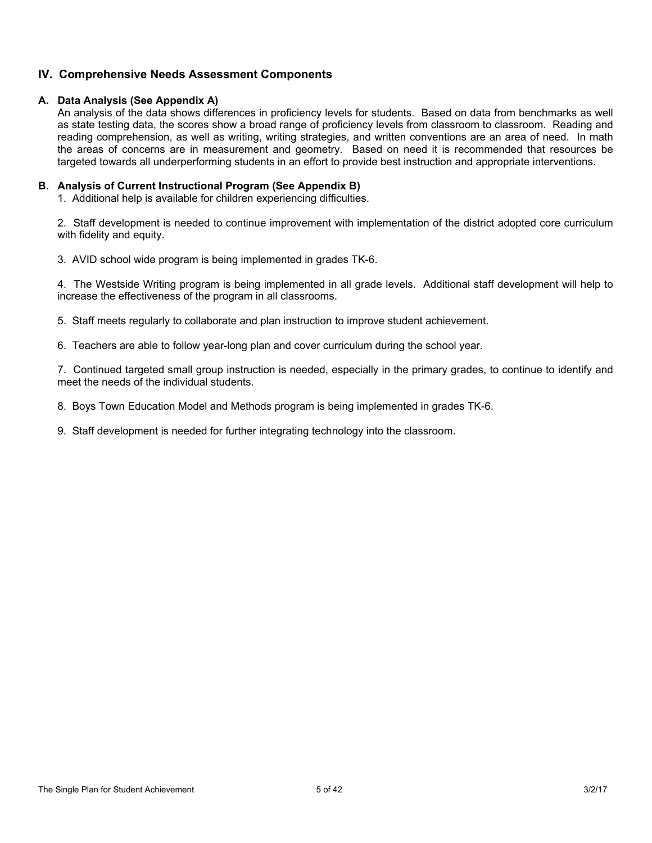## **IV. Comprehensive Needs Assessment Components**

### **A. Data Analysis (See Appendix A)**

An analysis of the data shows differences in proficiency levels for students. Based on data from benchmarks as well as state testing data, the scores show a broad range of proficiency levels from classroom to classroom. Reading and reading comprehension, as well as writing, writing strategies, and written conventions are an area of need. In math the areas of concerns are in measurement and geometry. Based on need it is recommended that resources be targeted towards all underperforming students in an effort to provide best instruction and appropriate interventions.

## **B. Analysis of Current Instructional Program (See Appendix B)**

1. Additional help is available for children experiencing difficulties.

2. Staff development is needed to continue improvement with implementation of the district adopted core curriculum with fidelity and equity.

3. AVID school wide program is being implemented in grades TK-6.

4. The Westside Writing program is being implemented in all grade levels. Additional staff development will help to increase the effectiveness of the program in all classrooms.

5. Staff meets regularly to collaborate and plan instruction to improve student achievement.

6. Teachers are able to follow year-long plan and cover curriculum during the school year.

7. Continued targeted small group instruction is needed, especially in the primary grades, to continue to identify and meet the needs of the individual students.

8. Boys Town Education Model and Methods program is being implemented in grades TK-6.

9. Staff development is needed for further integrating technology into the classroom.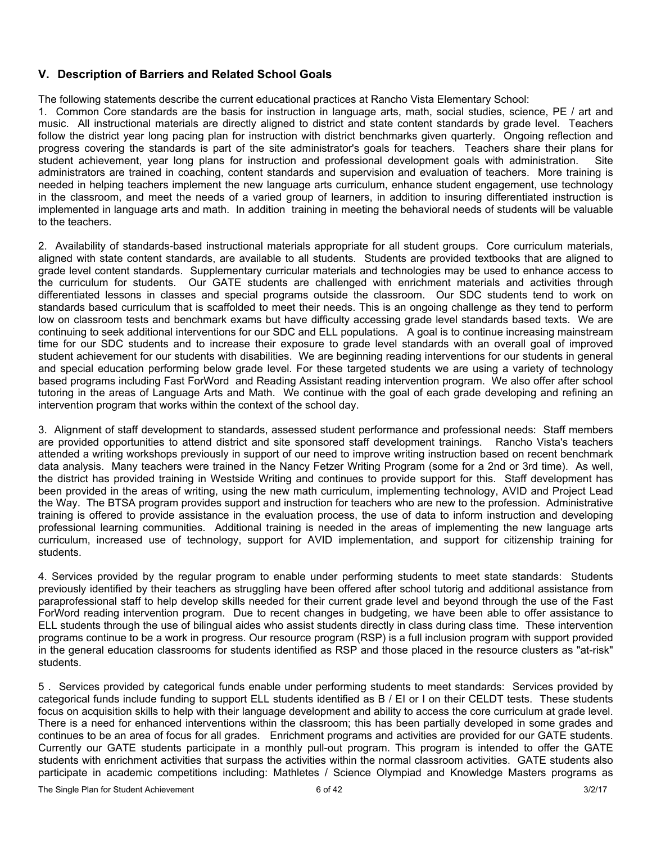# **V. Description of Barriers and Related School Goals**

The following statements describe the current educational practices at Rancho Vista Elementary School:

1. Common Core standards are the basis for instruction in language arts, math, social studies, science, PE / art and music. All instructional materials are directly aligned to district and state content standards by grade level. Teachers follow the district year long pacing plan for instruction with district benchmarks given quarterly. Ongoing reflection and progress covering the standards is part of the site administrator's goals for teachers. Teachers share their plans for student achievement, year long plans for instruction and professional development goals with administration. Site administrators are trained in coaching, content standards and supervision and evaluation of teachers. More training is needed in helping teachers implement the new language arts curriculum, enhance student engagement, use technology in the classroom, and meet the needs of a varied group of learners, in addition to insuring differentiated instruction is implemented in language arts and math. In addition training in meeting the behavioral needs of students will be valuable to the teachers.

2. Availability of standards-based instructional materials appropriate for all student groups. Core curriculum materials, aligned with state content standards, are available to all students. Students are provided textbooks that are aligned to grade level content standards. Supplementary curricular materials and technologies may be used to enhance access to the curriculum for students. Our GATE students are challenged with enrichment materials and activities through differentiated lessons in classes and special programs outside the classroom. Our SDC students tend to work on standards based curriculum that is scaffolded to meet their needs. This is an ongoing challenge as they tend to perform low on classroom tests and benchmark exams but have difficulty accessing grade level standards based texts. We are continuing to seek additional interventions for our SDC and ELL populations. A goal is to continue increasing mainstream time for our SDC students and to increase their exposure to grade level standards with an overall goal of improved student achievement for our students with disabilities. We are beginning reading interventions for our students in general and special education performing below grade level. For these targeted students we are using a variety of technology based programs including Fast ForWord and Reading Assistant reading intervention program. We also offer after school tutoring in the areas of Language Arts and Math. We continue with the goal of each grade developing and refining an intervention program that works within the context of the school day.

3. Alignment of staff development to standards, assessed student performance and professional needs: Staff members are provided opportunities to attend district and site sponsored staff development trainings. Rancho Vista's teachers attended a writing workshops previously in support of our need to improve writing instruction based on recent benchmark data analysis. Many teachers were trained in the Nancy Fetzer Writing Program (some for a 2nd or 3rd time). As well, the district has provided training in Westside Writing and continues to provide support for this. Staff development has been provided in the areas of writing, using the new math curriculum, implementing technology, AVID and Project Lead the Way. The BTSA program provides support and instruction for teachers who are new to the profession. Administrative training is offered to provide assistance in the evaluation process, the use of data to inform instruction and developing professional learning communities. Additional training is needed in the areas of implementing the new language arts curriculum, increased use of technology, support for AVID implementation, and support for citizenship training for students.

4. Services provided by the regular program to enable under performing students to meet state standards: Students previously identified by their teachers as struggling have been offered after school tutorig and additional assistance from paraprofessional staff to help develop skills needed for their current grade level and beyond through the use of the Fast ForWord reading intervention program. Due to recent changes in budgeting, we have been able to offer assistance to ELL students through the use of bilingual aides who assist students directly in class during class time. These intervention programs continue to be a work in progress. Our resource program (RSP) is a full inclusion program with support provided in the general education classrooms for students identified as RSP and those placed in the resource clusters as "at-risk" students.

5 . Services provided by categorical funds enable under performing students to meet standards: Services provided by categorical funds include funding to support ELL students identified as B / EI or I on their CELDT tests. These students focus on acquisition skills to help with their language development and ability to access the core curriculum at grade level. There is a need for enhanced interventions within the classroom; this has been partially developed in some grades and continues to be an area of focus for all grades. Enrichment programs and activities are provided for our GATE students. Currently our GATE students participate in a monthly pull-out program. This program is intended to offer the GATE students with enrichment activities that surpass the activities within the normal classroom activities. GATE students also participate in academic competitions including: Mathletes / Science Olympiad and Knowledge Masters programs as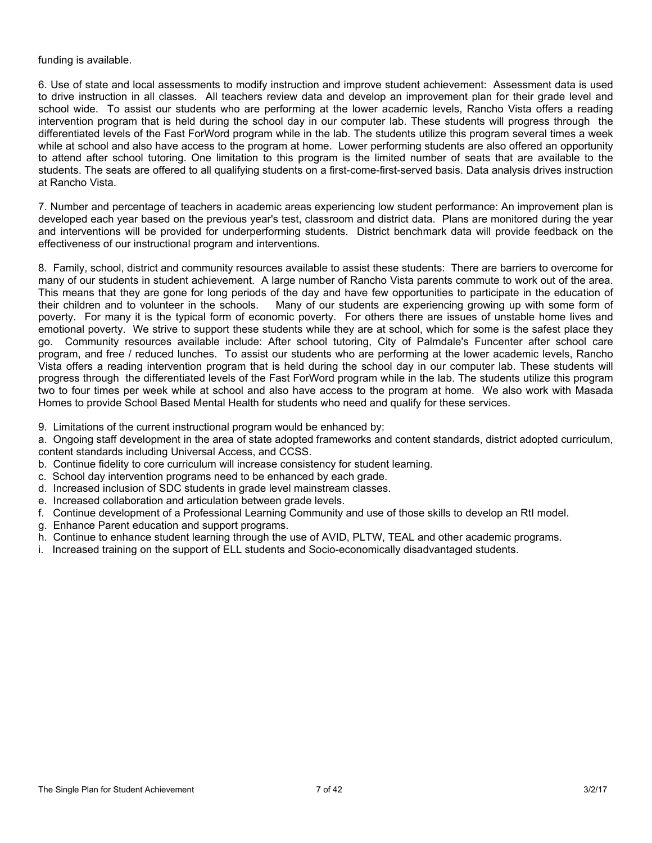#### funding is available.

6. Use of state and local assessments to modify instruction and improve student achievement: Assessment data is used to drive instruction in all classes. All teachers review data and develop an improvement plan for their grade level and school wide. To assist our students who are performing at the lower academic levels, Rancho Vista offers a reading intervention program that is held during the school day in our computer lab. These students will progress through the differentiated levels of the Fast ForWord program while in the lab. The students utilize this program several times a week while at school and also have access to the program at home. Lower performing students are also offered an opportunity to attend after school tutoring. One limitation to this program is the limited number of seats that are available to the students. The seats are offered to all qualifying students on a first-come-first-served basis. Data analysis drives instruction at Rancho Vista.

7. Number and percentage of teachers in academic areas experiencing low student performance: An improvement plan is developed each year based on the previous year's test, classroom and district data. Plans are monitored during the year and interventions will be provided for underperforming students. District benchmark data will provide feedback on the effectiveness of our instructional program and interventions.

8. Family, school, district and community resources available to assist these students: There are barriers to overcome for many of our students in student achievement. A large number of Rancho Vista parents commute to work out of the area. This means that they are gone for long periods of the day and have few opportunities to participate in the education of their children and to volunteer in the schools. Many of our students are experiencing growing up with some form of poverty. For many it is the typical form of economic poverty. For others there are issues of unstable home lives and emotional poverty. We strive to support these students while they are at school, which for some is the safest place they go. Community resources available include: After school tutoring, City of Palmdale's Funcenter after school care program, and free / reduced lunches. To assist our students who are performing at the lower academic levels, Rancho Vista offers a reading intervention program that is held during the school day in our computer lab. These students will progress through the differentiated levels of the Fast ForWord program while in the lab. The students utilize this program two to four times per week while at school and also have access to the program at home. We also work with Masada Homes to provide School Based Mental Health for students who need and qualify for these services.

9. Limitations of the current instructional program would be enhanced by:

a. Ongoing staff development in the area of state adopted frameworks and content standards, district adopted curriculum, content standards including Universal Access, and CCSS.

- b. Continue fidelity to core curriculum will increase consistency for student learning.
- c. School day intervention programs need to be enhanced by each grade.
- d. Increased inclusion of SDC students in grade level mainstream classes.
- e. Increased collaboration and articulation between grade levels.
- f. Continue development of a Professional Learning Community and use of those skills to develop an RtI model.
- g. Enhance Parent education and support programs.
- h. Continue to enhance student learning through the use of AVID, PLTW, TEAL and other academic programs.
- i. Increased training on the support of ELL students and Socio-economically disadvantaged students.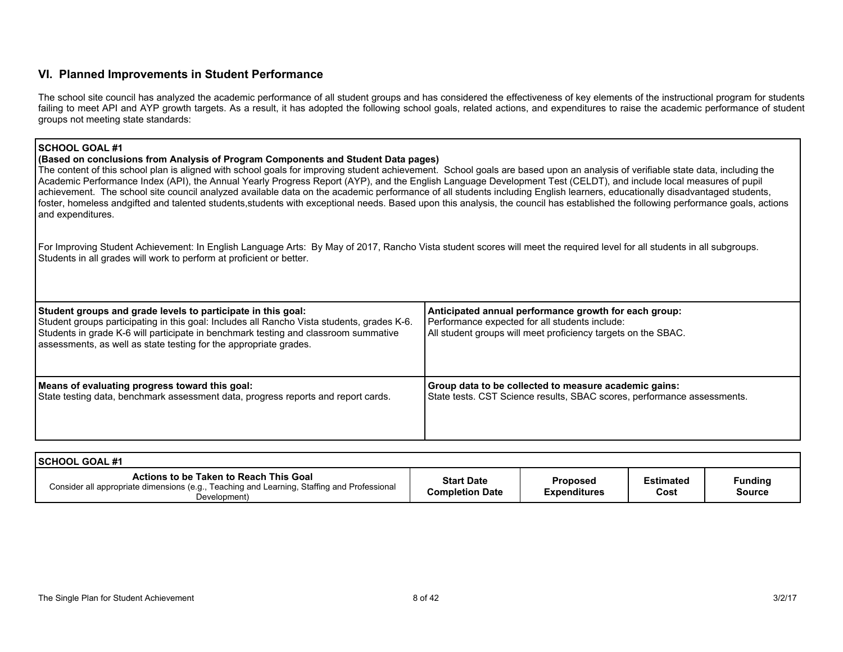## **VI. Planned Improvements in Student Performance**

The school site council has analyzed the academic performance of all student groups and has considered the effectiveness of key elements of the instructional program for students failing to meet API and AYP growth targets. As a result, it has adopted the following school goals, related actions, and expenditures to raise the academic performance of student groups not meeting state standards:

| <b>SCHOOL GOAL #1</b><br>(Based on conclusions from Analysis of Program Components and Student Data pages)<br>The content of this school plan is aligned with school goals for improving student achievement. School goals are based upon an analysis of verifiable state data, including the<br>Academic Performance Index (API), the Annual Yearly Progress Report (AYP), and the English Language Development Test (CELDT), and include local measures of pupil<br>achievement. The school site council analyzed available data on the academic performance of all students including English learners, educationally disadvantaged students,<br>foster, homeless andgifted and talented students, students with exceptional needs. Based upon this analysis, the council has established the following performance goals, actions<br>and expenditures. |                                                                                                                                                                          |  |  |  |  |  |
|------------------------------------------------------------------------------------------------------------------------------------------------------------------------------------------------------------------------------------------------------------------------------------------------------------------------------------------------------------------------------------------------------------------------------------------------------------------------------------------------------------------------------------------------------------------------------------------------------------------------------------------------------------------------------------------------------------------------------------------------------------------------------------------------------------------------------------------------------------|--------------------------------------------------------------------------------------------------------------------------------------------------------------------------|--|--|--|--|--|
| For Improving Student Achievement: In English Language Arts: By May of 2017, Rancho Vista student scores will meet the required level for all students in all subgroups.<br>Students in all grades will work to perform at proficient or better.                                                                                                                                                                                                                                                                                                                                                                                                                                                                                                                                                                                                           |                                                                                                                                                                          |  |  |  |  |  |
| Student groups and grade levels to participate in this goal:<br>Student groups participating in this goal: Includes all Rancho Vista students, grades K-6.<br>Students in grade K-6 will participate in benchmark testing and classroom summative<br>assessments, as well as state testing for the appropriate grades.                                                                                                                                                                                                                                                                                                                                                                                                                                                                                                                                     | Anticipated annual performance growth for each group:<br>Performance expected for all students include:<br>All student groups will meet proficiency targets on the SBAC. |  |  |  |  |  |
| Means of evaluating progress toward this goal:<br>State testing data, benchmark assessment data, progress reports and report cards.                                                                                                                                                                                                                                                                                                                                                                                                                                                                                                                                                                                                                                                                                                                        | Group data to be collected to measure academic gains:<br>State tests. CST Science results, SBAC scores, performance assessments.                                         |  |  |  |  |  |

| I SCHOOL GOAL #1                                                                                                                                      |                                             |                                        |                          |                          |
|-------------------------------------------------------------------------------------------------------------------------------------------------------|---------------------------------------------|----------------------------------------|--------------------------|--------------------------|
| Actions to be Taken to Reach This Goal<br>Consider all appropriate dimensions (e.g., Teaching and Learning, Staffing and Professional<br>Development) | <b>Start Date</b><br><b>Completion Date</b> | <b>Proposed</b><br><b>Expenditures</b> | <b>Estimated</b><br>Cost | Funding<br><b>Source</b> |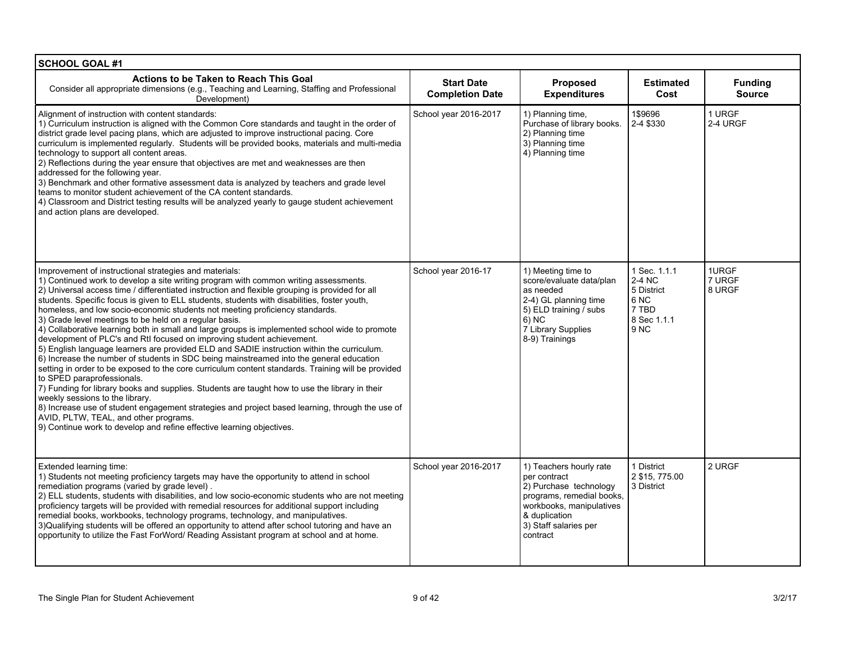| <b>SCHOOL GOAL #1</b>                                                                                                                                                                                                                                                                                                                                                                                                                                                                                                                                                                                                                                                                                                                                                                                                                                                                                                                                                                                                                                                                                                                                                                                                                                                                                                                                          |                                             |                                                                                                                                                                                  |                                                                                                    |                                 |
|----------------------------------------------------------------------------------------------------------------------------------------------------------------------------------------------------------------------------------------------------------------------------------------------------------------------------------------------------------------------------------------------------------------------------------------------------------------------------------------------------------------------------------------------------------------------------------------------------------------------------------------------------------------------------------------------------------------------------------------------------------------------------------------------------------------------------------------------------------------------------------------------------------------------------------------------------------------------------------------------------------------------------------------------------------------------------------------------------------------------------------------------------------------------------------------------------------------------------------------------------------------------------------------------------------------------------------------------------------------|---------------------------------------------|----------------------------------------------------------------------------------------------------------------------------------------------------------------------------------|----------------------------------------------------------------------------------------------------|---------------------------------|
| Actions to be Taken to Reach This Goal<br>Consider all appropriate dimensions (e.g., Teaching and Learning, Staffing and Professional<br>Development)                                                                                                                                                                                                                                                                                                                                                                                                                                                                                                                                                                                                                                                                                                                                                                                                                                                                                                                                                                                                                                                                                                                                                                                                          | <b>Start Date</b><br><b>Completion Date</b> | Proposed<br><b>Expenditures</b>                                                                                                                                                  | <b>Estimated</b><br>Cost                                                                           | <b>Funding</b><br><b>Source</b> |
| Alignment of instruction with content standards:<br>1) Curriculum instruction is aligned with the Common Core standards and taught in the order of<br>district grade level pacing plans, which are adjusted to improve instructional pacing. Core<br>curriculum is implemented regularly. Students will be provided books, materials and multi-media<br>technology to support all content areas.<br>2) Reflections during the year ensure that objectives are met and weaknesses are then<br>addressed for the following year.<br>3) Benchmark and other formative assessment data is analyzed by teachers and grade level<br>teams to monitor student achievement of the CA content standards.<br>4) Classroom and District testing results will be analyzed yearly to gauge student achievement<br>and action plans are developed.                                                                                                                                                                                                                                                                                                                                                                                                                                                                                                                           | School year 2016-2017                       | 1) Planning time,<br>Purchase of library books.<br>2) Planning time<br>3) Planning time<br>4) Planning time                                                                      | 1\$9696<br>2-4 \$330                                                                               | 1 URGF<br>2-4 URGF              |
| Improvement of instructional strategies and materials:<br>1) Continued work to develop a site writing program with common writing assessments.<br>2) Universal access time / differentiated instruction and flexible grouping is provided for all<br>students. Specific focus is given to ELL students, students with disabilities, foster youth,<br>homeless, and low socio-economic students not meeting proficiency standards.<br>3) Grade level meetings to be held on a regular basis.<br>4) Collaborative learning both in small and large groups is implemented school wide to promote<br>development of PLC's and Rtl focused on improving student achievement.<br>5) English language learners are provided ELD and SADIE instruction within the curriculum.<br>6) Increase the number of students in SDC being mainstreamed into the general education<br>setting in order to be exposed to the core curriculum content standards. Training will be provided<br>to SPED paraprofessionals.<br>7) Funding for library books and supplies. Students are taught how to use the library in their<br>weekly sessions to the library.<br>8) Increase use of student engagement strategies and project based learning, through the use of<br>AVID, PLTW, TEAL, and other programs.<br>9) Continue work to develop and refine effective learning objectives. | School year 2016-17                         | 1) Meeting time to<br>score/evaluate data/plan<br>as needed<br>2-4) GL planning time<br>5) ELD training / subs<br>$6)$ NC<br>7 Library Supplies<br>8-9) Trainings                | 1 Sec. 1.1.1<br>2-4 NC<br>5 District<br>6 <sub>NC</sub><br>7 TBD<br>8 Sec 1.1.1<br>9 <sub>NC</sub> | 1URGF<br>7 URGF<br>8 URGF       |
| Extended learning time:<br>1) Students not meeting proficiency targets may have the opportunity to attend in school<br>remediation programs (varied by grade level).<br>2) ELL students, students with disabilities, and low socio-economic students who are not meeting<br>proficiency targets will be provided with remedial resources for additional support including<br>remedial books, workbooks, technology programs, technology, and manipulatives.<br>3) Qualifying students will be offered an opportunity to attend after school tutoring and have an<br>opportunity to utilize the Fast ForWord/ Reading Assistant program at school and at home.                                                                                                                                                                                                                                                                                                                                                                                                                                                                                                                                                                                                                                                                                                  | School year 2016-2017                       | 1) Teachers hourly rate<br>per contract<br>2) Purchase technology<br>programs, remedial books,<br>workbooks, manipulatives<br>& duplication<br>3) Staff salaries per<br>contract | 1 District<br>2 \$15, 775.00<br>3 District                                                         | 2 URGF                          |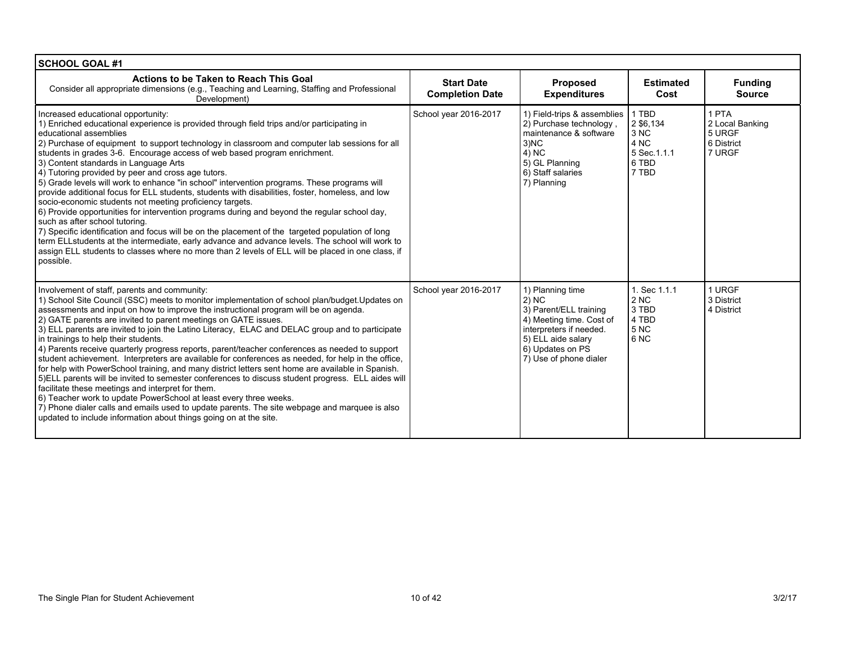| <b>SCHOOL GOAL #1</b>                                                                                                                                                                                                                                                                                                                                                                                                                                                                                                                                                                                                                                                                                                                                                                                                                                                                                                                                                                                                                                                                                                                                                  |                                             |                                                                                                                                                                                |                                                                            |                                                            |
|------------------------------------------------------------------------------------------------------------------------------------------------------------------------------------------------------------------------------------------------------------------------------------------------------------------------------------------------------------------------------------------------------------------------------------------------------------------------------------------------------------------------------------------------------------------------------------------------------------------------------------------------------------------------------------------------------------------------------------------------------------------------------------------------------------------------------------------------------------------------------------------------------------------------------------------------------------------------------------------------------------------------------------------------------------------------------------------------------------------------------------------------------------------------|---------------------------------------------|--------------------------------------------------------------------------------------------------------------------------------------------------------------------------------|----------------------------------------------------------------------------|------------------------------------------------------------|
| Actions to be Taken to Reach This Goal<br>Consider all appropriate dimensions (e.g., Teaching and Learning, Staffing and Professional<br>Development)                                                                                                                                                                                                                                                                                                                                                                                                                                                                                                                                                                                                                                                                                                                                                                                                                                                                                                                                                                                                                  | <b>Start Date</b><br><b>Completion Date</b> | Proposed<br><b>Expenditures</b>                                                                                                                                                | <b>Estimated</b><br>Cost                                                   | <b>Funding</b><br><b>Source</b>                            |
| Increased educational opportunity:<br>1) Enriched educational experience is provided through field trips and/or participating in<br>educational assemblies<br>2) Purchase of equipment to support technology in classroom and computer lab sessions for all<br>students in grades 3-6. Encourage access of web based program enrichment.<br>3) Content standards in Language Arts<br>4) Tutoring provided by peer and cross age tutors.<br>5) Grade levels will work to enhance "in school" intervention programs. These programs will<br>provide additional focus for ELL students, students with disabilities, foster, homeless, and low<br>socio-economic students not meeting proficiency targets.<br>6) Provide opportunities for intervention programs during and beyond the regular school day,<br>such as after school tutoring.<br>7) Specific identification and focus will be on the placement of the targeted population of long<br>term ELLstudents at the intermediate, early advance and advance levels. The school will work to<br>assign ELL students to classes where no more than 2 levels of ELL will be placed in one class, if<br>possible.      | School year 2016-2017                       | 1) Field-trips & assemblies<br>2) Purchase technology,<br>maintenance & software<br>3 <sub>1</sub> NC<br>4) NC<br>5) GL Planning<br>6) Staff salaries<br>7) Planning           | 1 TBD<br>2 \$6,134<br>3 NC<br>4 NC<br>5 Sec. 1.1.1<br>6 TBD<br>7 TBD       | 1 PTA<br>2 Local Banking<br>5 URGF<br>6 District<br>7 URGF |
| Involvement of staff, parents and community:<br>1) School Site Council (SSC) meets to monitor implementation of school plan/budget. Updates on<br>assessments and input on how to improve the instructional program will be on agenda.<br>2) GATE parents are invited to parent meetings on GATE issues.<br>3) ELL parents are invited to join the Latino Literacy, ELAC and DELAC group and to participate<br>in trainings to help their students.<br>4) Parents receive quarterly progress reports, parent/teacher conferences as needed to support<br>student achievement. Interpreters are available for conferences as needed, for help in the office,<br>for help with PowerSchool training, and many district letters sent home are available in Spanish.<br>5) ELL parents will be invited to semester conferences to discuss student progress. ELL aides will<br>facilitate these meetings and interpret for them.<br>6) Teacher work to update PowerSchool at least every three weeks.<br>7) Phone dialer calls and emails used to update parents. The site webpage and marquee is also<br>updated to include information about things going on at the site. | School year 2016-2017                       | 1) Planning time<br>2) NC<br>3) Parent/ELL training<br>4) Meeting time. Cost of<br>interpreters if needed.<br>5) ELL aide salary<br>6) Updates on PS<br>7) Use of phone dialer | 1. Sec 1.1.1<br>2 <sub>N</sub><br>3 TBD<br>4 TBD<br>5 <sub>NC</sub><br>6NC | 1 URGF<br>3 District<br>4 District                         |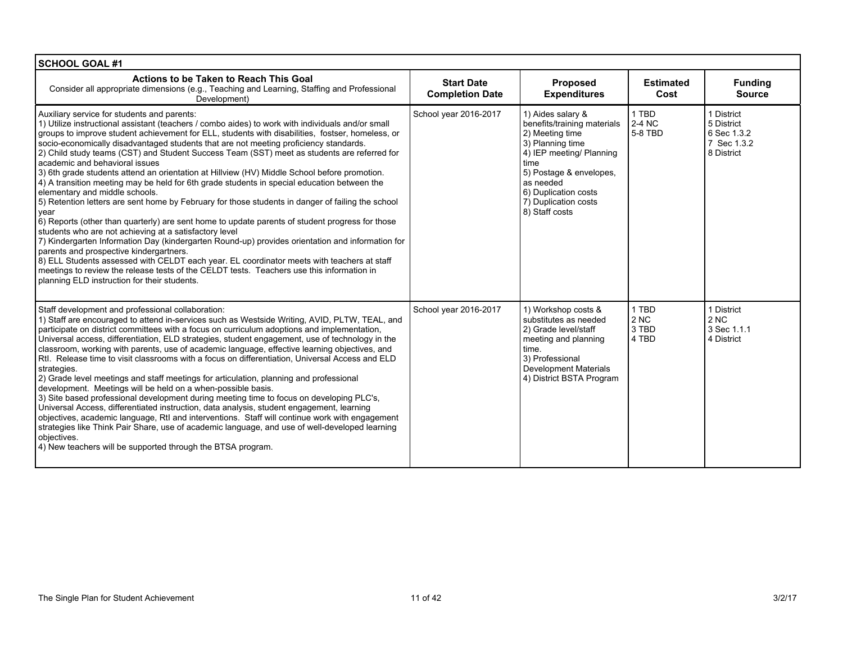| <b>SCHOOL GOAL #1</b>                                                                                                                                                                                                                                                                                                                                                                                                                                                                                                                                                                                                                                                                                                                                                                                                                                                                                                                                                                                                                                                                                                                                                                                                                                                                                                                                                               |                                             |                                                                                                                                                                                                                                       |                                            |                                                                      |
|-------------------------------------------------------------------------------------------------------------------------------------------------------------------------------------------------------------------------------------------------------------------------------------------------------------------------------------------------------------------------------------------------------------------------------------------------------------------------------------------------------------------------------------------------------------------------------------------------------------------------------------------------------------------------------------------------------------------------------------------------------------------------------------------------------------------------------------------------------------------------------------------------------------------------------------------------------------------------------------------------------------------------------------------------------------------------------------------------------------------------------------------------------------------------------------------------------------------------------------------------------------------------------------------------------------------------------------------------------------------------------------|---------------------------------------------|---------------------------------------------------------------------------------------------------------------------------------------------------------------------------------------------------------------------------------------|--------------------------------------------|----------------------------------------------------------------------|
| Actions to be Taken to Reach This Goal<br>Consider all appropriate dimensions (e.g., Teaching and Learning, Staffing and Professional<br>Development)                                                                                                                                                                                                                                                                                                                                                                                                                                                                                                                                                                                                                                                                                                                                                                                                                                                                                                                                                                                                                                                                                                                                                                                                                               | <b>Start Date</b><br><b>Completion Date</b> | <b>Proposed</b><br><b>Expenditures</b>                                                                                                                                                                                                | <b>Estimated</b><br>Cost                   | <b>Funding</b><br><b>Source</b>                                      |
| Auxiliary service for students and parents:<br>1) Utilize instructional assistant (teachers / combo aides) to work with individuals and/or small<br>groups to improve student achievement for ELL, students with disabilities, fostser, homeless, or<br>socio-economically disadvantaged students that are not meeting proficiency standards.<br>2) Child study teams (CST) and Student Success Team (SST) meet as students are referred for<br>academic and behavioral issues<br>3) 6th grade students attend an orientation at Hillview (HV) Middle School before promotion.<br>4) A transition meeting may be held for 6th grade students in special education between the<br>elementary and middle schools.<br>5) Retention letters are sent home by February for those students in danger of failing the school<br>year<br>6) Reports (other than quarterly) are sent home to update parents of student progress for those<br>students who are not achieving at a satisfactory level<br>7) Kindergarten Information Day (kindergarten Round-up) provides orientation and information for<br>parents and prospective kindergartners.<br>8) ELL Students assessed with CELDT each year. EL coordinator meets with teachers at staff<br>meetings to review the release tests of the CELDT tests. Teachers use this information in<br>planning ELD instruction for their students. | School year 2016-2017                       | 1) Aides salary &<br>benefits/training materials<br>2) Meeting time<br>3) Planning time<br>4) IEP meeting/ Planning<br>time<br>5) Postage & envelopes,<br>as needed<br>6) Duplication costs<br>7) Duplication costs<br>8) Staff costs | 1 TBD<br><b>2-4 NC</b><br>5-8 TBD          | 1 District<br>5 District<br>6 Sec 1.3.2<br>7 Sec 1.3.2<br>8 District |
| Staff development and professional collaboration:<br>1) Staff are encouraged to attend in-services such as Westside Writing, AVID, PLTW, TEAL, and<br>participate on district committees with a focus on curriculum adoptions and implementation,<br>Universal access, differentiation, ELD strategies, student engagement, use of technology in the<br>classroom, working with parents, use of academic language, effective learning objectives, and<br>Rtl. Release time to visit classrooms with a focus on differentiation. Universal Access and ELD<br>strategies.<br>(2) Grade level meetings and staff meetings for articulation, planning and professional<br>development. Meetings will be held on a when-possible basis.<br>3) Site based professional development during meeting time to focus on developing PLC's.<br>Universal Access, differentiated instruction, data analysis, student engagement, learning<br>objectives, academic language, Rtl and interventions. Staff will continue work with engagement<br>strategies like Think Pair Share, use of academic language, and use of well-developed learning<br>objectives.<br>4) New teachers will be supported through the BTSA program.                                                                                                                                                                       | School year 2016-2017                       | 1) Workshop costs &<br>substitutes as needed<br>2) Grade level/staff<br>meeting and planning<br>time.<br>3) Professional<br>Development Materials<br>4) District BSTA Program                                                         | 1 TBD<br>2 <sub>NC</sub><br>3 TBD<br>4 TBD | 1 District<br>2 <sub>NC</sub><br>3 Sec 1.1.1<br>4 District           |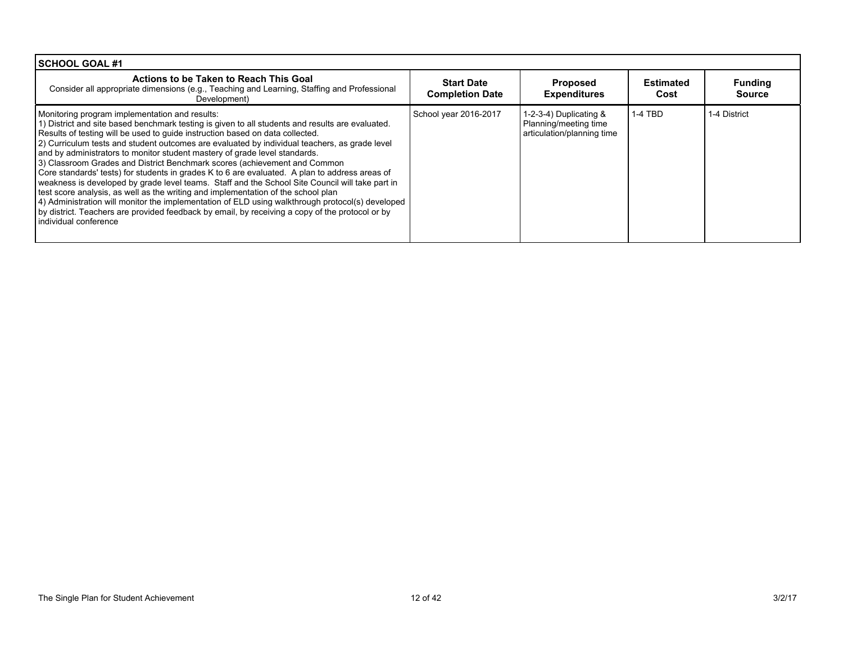| SCHOOL GOAL #1                                                                                                                                                                                                                                                                                                                                                                                                                                                                                                                                                                                                                                                                                                                                                                                                                                                                                                                                                                                                             |                                             |                                                                                 |                          |                                 |
|----------------------------------------------------------------------------------------------------------------------------------------------------------------------------------------------------------------------------------------------------------------------------------------------------------------------------------------------------------------------------------------------------------------------------------------------------------------------------------------------------------------------------------------------------------------------------------------------------------------------------------------------------------------------------------------------------------------------------------------------------------------------------------------------------------------------------------------------------------------------------------------------------------------------------------------------------------------------------------------------------------------------------|---------------------------------------------|---------------------------------------------------------------------------------|--------------------------|---------------------------------|
| Actions to be Taken to Reach This Goal<br>Consider all appropriate dimensions (e.g., Teaching and Learning, Staffing and Professional<br>Development)                                                                                                                                                                                                                                                                                                                                                                                                                                                                                                                                                                                                                                                                                                                                                                                                                                                                      | <b>Start Date</b><br><b>Completion Date</b> | <b>Proposed</b><br><b>Expenditures</b>                                          | <b>Estimated</b><br>Cost | <b>Funding</b><br><b>Source</b> |
| Monitoring program implementation and results:<br>1) District and site based benchmark testing is given to all students and results are evaluated.<br>Results of testing will be used to guide instruction based on data collected.<br>[2] Curriculum tests and student outcomes are evaluated by individual teachers, as grade level<br>and by administrators to monitor student mastery of grade level standards.<br>3) Classroom Grades and District Benchmark scores (achievement and Common<br>Core standards' tests) for students in grades K to 6 are evaluated. A plan to address areas of<br>weakness is developed by grade level teams. Staff and the School Site Council will take part in<br>test score analysis, as well as the writing and implementation of the school plan<br>4) Administration will monitor the implementation of ELD using walkthrough protocol(s) developed<br>by district. Teachers are provided feedback by email, by receiving a copy of the protocol or by<br>individual conference | School year 2016-2017                       | 1-2-3-4) Duplicating $&$<br>Planning/meeting time<br>articulation/planning time | 1-4 TBD                  | 1-4 District                    |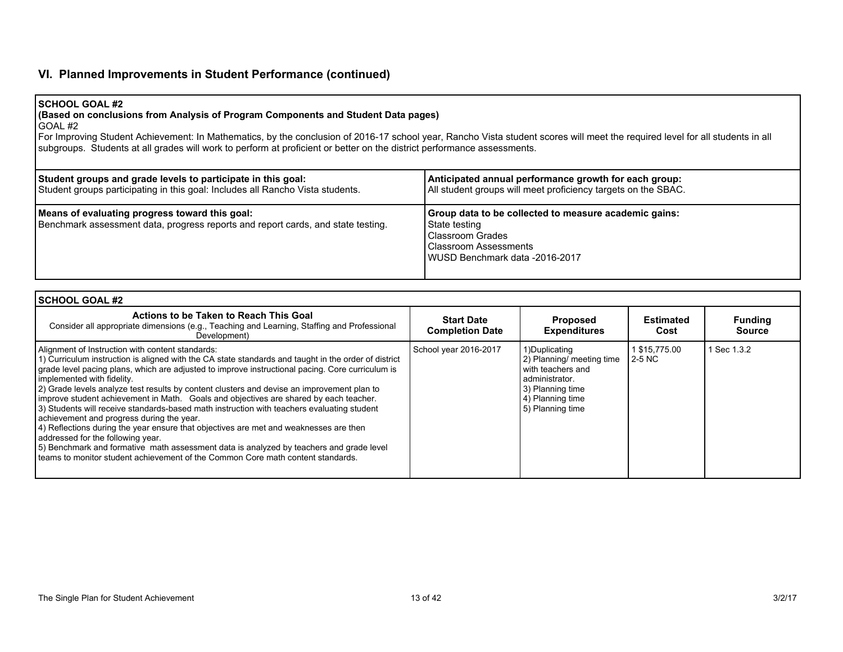## **VI. Planned Improvements in Student Performance (continued)**

#### **SCHOOL GOAL #2**

## **(Based on conclusions from Analysis of Program Components and Student Data pages)**

 $\overline{G}$ OAL #2

For Improving Student Achievement: In Mathematics, by the conclusion of 2016-17 school year, Rancho Vista student scores will meet the required level for all students in all subgroups. Students at all grades will work to perform at proficient or better on the district performance assessments.

| Student groups and grade levels to participate in this goal:                                                                       | Anticipated annual performance growth for each group:                                                                                                        |
|------------------------------------------------------------------------------------------------------------------------------------|--------------------------------------------------------------------------------------------------------------------------------------------------------------|
| Student groups participating in this goal: Includes all Rancho Vista students.                                                     | All student groups will meet proficiency targets on the SBAC.                                                                                                |
| Means of evaluating progress toward this goal:<br>Benchmark assessment data, progress reports and report cards, and state testing. | Group data to be collected to measure academic gains:<br>State testing<br>Classroom Grades<br><b>Classroom Assessments</b><br>WUSD Benchmark data -2016-2017 |

| l SCHOOL GOAL #2                                                                                                                                                                                                                                                                                                                                                                                                                                                                                                                                                                                                                                                                                                                                                                                                                                                                                                                         |                                             |                                                                                                                                                 |                           |                                 |
|------------------------------------------------------------------------------------------------------------------------------------------------------------------------------------------------------------------------------------------------------------------------------------------------------------------------------------------------------------------------------------------------------------------------------------------------------------------------------------------------------------------------------------------------------------------------------------------------------------------------------------------------------------------------------------------------------------------------------------------------------------------------------------------------------------------------------------------------------------------------------------------------------------------------------------------|---------------------------------------------|-------------------------------------------------------------------------------------------------------------------------------------------------|---------------------------|---------------------------------|
| Actions to be Taken to Reach This Goal<br>Consider all appropriate dimensions (e.g., Teaching and Learning, Staffing and Professional<br>Development)                                                                                                                                                                                                                                                                                                                                                                                                                                                                                                                                                                                                                                                                                                                                                                                    | <b>Start Date</b><br><b>Completion Date</b> | <b>Proposed</b><br><b>Expenditures</b>                                                                                                          | <b>Estimated</b><br>Cost  | <b>Funding</b><br><b>Source</b> |
| Alignment of Instruction with content standards:<br>1) Curriculum instruction is aligned with the CA state standards and taught in the order of district<br>grade level pacing plans, which are adjusted to improve instructional pacing. Core curriculum is<br>implemented with fidelity.<br>2) Grade levels analyze test results by content clusters and devise an improvement plan to<br>improve student achievement in Math. Goals and objectives are shared by each teacher.<br>3) Students will receive standards-based math instruction with teachers evaluating student<br>achievement and progress during the year.<br>4) Reflections during the year ensure that objectives are met and weaknesses are then<br>addressed for the following year.<br>5) Benchmark and formative math assessment data is analyzed by teachers and grade level<br>teams to monitor student achievement of the Common Core math content standards. | School year 2016-2017                       | 1)Duplicating<br>2) Planning/ meeting time<br>with teachers and<br>l administrator.<br>3) Planning time<br>4) Planning time<br>5) Planning time | 1 \$15,775.00<br>l 2-5 NC | 1 Sec 1.3.2                     |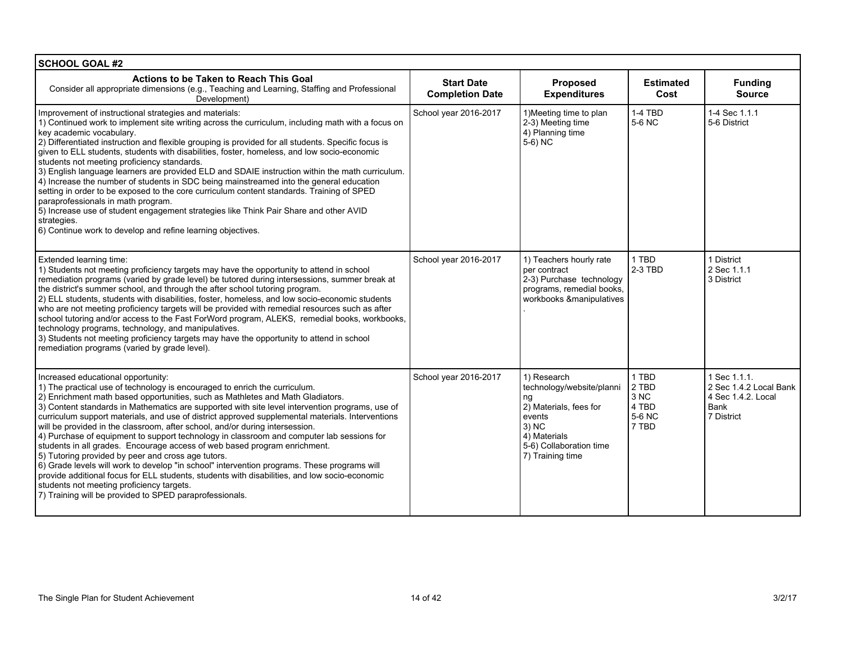| <b>SCHOOL GOAL #2</b>                                                                                                                                                                                                                                                                                                                                                                                                                                                                                                                                                                                                                                                                                                                                                                                                                                                                                                                                                                                                             |                                             |                                                                                                                                                            |                                                                |                                                                                    |
|-----------------------------------------------------------------------------------------------------------------------------------------------------------------------------------------------------------------------------------------------------------------------------------------------------------------------------------------------------------------------------------------------------------------------------------------------------------------------------------------------------------------------------------------------------------------------------------------------------------------------------------------------------------------------------------------------------------------------------------------------------------------------------------------------------------------------------------------------------------------------------------------------------------------------------------------------------------------------------------------------------------------------------------|---------------------------------------------|------------------------------------------------------------------------------------------------------------------------------------------------------------|----------------------------------------------------------------|------------------------------------------------------------------------------------|
| Actions to be Taken to Reach This Goal<br>Consider all appropriate dimensions (e.g., Teaching and Learning, Staffing and Professional<br>Development)                                                                                                                                                                                                                                                                                                                                                                                                                                                                                                                                                                                                                                                                                                                                                                                                                                                                             | <b>Start Date</b><br><b>Completion Date</b> | Proposed<br><b>Expenditures</b>                                                                                                                            | <b>Estimated</b><br>Cost                                       | <b>Funding</b><br><b>Source</b>                                                    |
| Improvement of instructional strategies and materials:<br>1) Continued work to implement site writing across the curriculum, including math with a focus on<br>key academic vocabulary.<br>2) Differentiated instruction and flexible grouping is provided for all students. Specific focus is<br>given to ELL students, students with disabilities, foster, homeless, and low socio-economic<br>students not meeting proficiency standards.<br>3) English language learners are provided ELD and SDAIE instruction within the math curriculum.<br>4) Increase the number of students in SDC being mainstreamed into the general education<br>setting in order to be exposed to the core curriculum content standards. Training of SPED<br>paraprofessionals in math program.<br>5) Increase use of student engagement strategies like Think Pair Share and other AVID<br>strategies.<br>6) Continue work to develop and refine learning objectives.                                                                              | School year 2016-2017                       | 1) Meeting time to plan<br>2-3) Meeting time<br>4) Planning time<br>5-6) NC                                                                                | 1-4 TBD<br>5-6 NC                                              | 1-4 Sec 1.1.1<br>5-6 District                                                      |
| Extended learning time:<br>1) Students not meeting proficiency targets may have the opportunity to attend in school<br>remediation programs (varied by grade level) be tutored during intersessions, summer break at<br>the district's summer school, and through the after school tutoring program.<br>2) ELL students, students with disabilities, foster, homeless, and low socio-economic students<br>who are not meeting proficiency targets will be provided with remedial resources such as after<br>school tutoring and/or access to the Fast ForWord program, ALEKS, remedial books, workbooks,<br>technology programs, technology, and manipulatives.<br>3) Students not meeting proficiency targets may have the opportunity to attend in school<br>remediation programs (varied by grade level).                                                                                                                                                                                                                      | School year 2016-2017                       | 1) Teachers hourly rate<br>per contract<br>2-3) Purchase technology<br>programs, remedial books,<br>workbooks &manipulatives                               | 1 TBD<br>2-3 TBD                                               | 1 District<br>2 Sec 1.1.1<br>3 District                                            |
| Increased educational opportunity:<br>1) The practical use of technology is encouraged to enrich the curriculum.<br>2) Enrichment math based opportunities, such as Mathletes and Math Gladiators.<br>3) Content standards in Mathematics are supported with site level intervention programs, use of<br>curriculum support materials, and use of district approved supplemental materials. Interventions<br>will be provided in the classroom, after school, and/or during intersession.<br>4) Purchase of equipment to support technology in classroom and computer lab sessions for<br>students in all grades. Encourage access of web based program enrichment.<br>5) Tutoring provided by peer and cross age tutors.<br>6) Grade levels will work to develop "in school" intervention programs. These programs will<br>provide additional focus for ELL students, students with disabilities, and low socio-economic<br>students not meeting proficiency targets.<br>7) Training will be provided to SPED paraprofessionals. | School year 2016-2017                       | 1) Research<br>technology/website/planni<br>ng<br>2) Materials, fees for<br>events<br>3) NC<br>4) Materials<br>5-6) Collaboration time<br>7) Training time | 1 TBD<br>2 TBD<br>3 <sub>N</sub> C<br>4 TBD<br>5-6 NC<br>7 TBD | 1 Sec 1.1.1.<br>2 Sec 1.4.2 Local Bank<br>4 Sec 1.4.2. Local<br>Bank<br>7 District |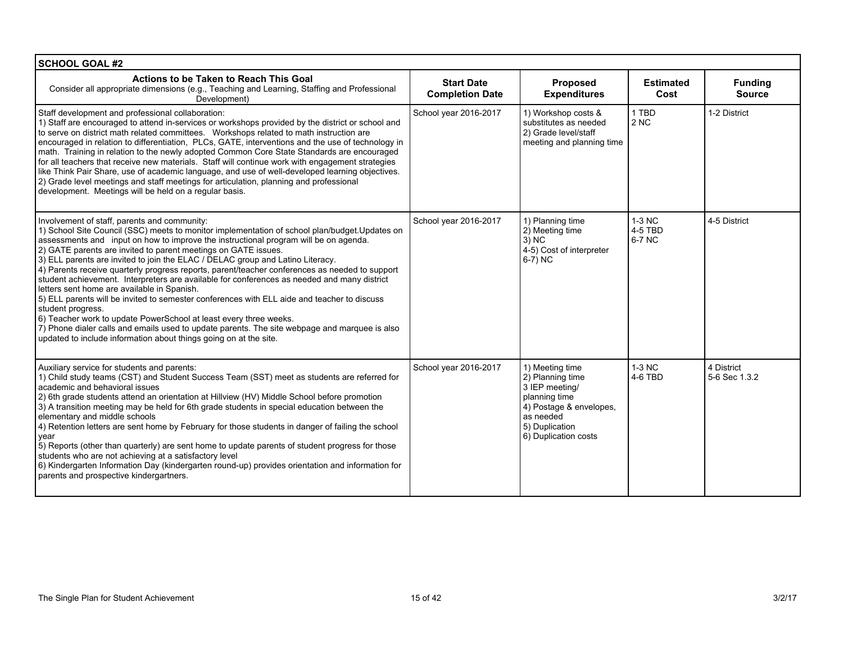| <b>SCHOOL GOAL #2</b>                                                                                                                                                                                                                                                                                                                                                                                                                                                                                                                                                                                                                                                                                                                                                                                                                                                                                                                                                                                     |                                             |                                                                                                                                                          |                               |                                 |
|-----------------------------------------------------------------------------------------------------------------------------------------------------------------------------------------------------------------------------------------------------------------------------------------------------------------------------------------------------------------------------------------------------------------------------------------------------------------------------------------------------------------------------------------------------------------------------------------------------------------------------------------------------------------------------------------------------------------------------------------------------------------------------------------------------------------------------------------------------------------------------------------------------------------------------------------------------------------------------------------------------------|---------------------------------------------|----------------------------------------------------------------------------------------------------------------------------------------------------------|-------------------------------|---------------------------------|
| Actions to be Taken to Reach This Goal<br>Consider all appropriate dimensions (e.g., Teaching and Learning, Staffing and Professional<br>Development)                                                                                                                                                                                                                                                                                                                                                                                                                                                                                                                                                                                                                                                                                                                                                                                                                                                     | <b>Start Date</b><br><b>Completion Date</b> | <b>Proposed</b><br><b>Expenditures</b>                                                                                                                   | <b>Estimated</b><br>Cost      | <b>Funding</b><br><b>Source</b> |
| Staff development and professional collaboration:<br>1) Staff are encouraged to attend in-services or workshops provided by the district or school and<br>to serve on district math related committees. Workshops related to math instruction are<br>encouraged in relation to differentiation. PLCs, GATE, interventions and the use of technology in<br>math. Training in relation to the newly adopted Common Core State Standards are encouraged<br>for all teachers that receive new materials. Staff will continue work with engagement strategies<br>like Think Pair Share, use of academic language, and use of well-developed learning objectives.<br>2) Grade level meetings and staff meetings for articulation, planning and professional<br>development. Meetings will be held on a regular basis.                                                                                                                                                                                           | School year 2016-2017                       | 1) Workshop costs &<br>substitutes as needed<br>2) Grade level/staff<br>meeting and planning time                                                        | 1 TBD<br>2NC                  | 1-2 District                    |
| Involvement of staff, parents and community:<br>1) School Site Council (SSC) meets to monitor implementation of school plan/budget. Updates on<br>assessments and input on how to improve the instructional program will be on agenda.<br>2) GATE parents are invited to parent meetings on GATE issues.<br>3) ELL parents are invited to join the ELAC / DELAC group and Latino Literacy.<br>4) Parents receive quarterly progress reports, parent/teacher conferences as needed to support<br>student achievement. Interpreters are available for conferences as needed and many district<br>letters sent home are available in Spanish.<br>5) ELL parents will be invited to semester conferences with ELL aide and teacher to discuss<br>student progress.<br>6) Teacher work to update PowerSchool at least every three weeks.<br>7) Phone dialer calls and emails used to update parents. The site webpage and marquee is also<br>updated to include information about things going on at the site. | School year 2016-2017                       | 1) Planning time<br>2) Meeting time<br>3) NC<br>4-5) Cost of interpreter<br>$6-7)$ NC                                                                    | $1-3$ NC<br>4-5 TBD<br>6-7 NC | 4-5 District                    |
| Auxiliary service for students and parents:<br>1) Child study teams (CST) and Student Success Team (SST) meet as students are referred for<br>academic and behavioral issues<br>2) 6th grade students attend an orientation at Hillview (HV) Middle School before promotion<br>3) A transition meeting may be held for 6th grade students in special education between the<br>elementary and middle schools<br>4) Retention letters are sent home by February for those students in danger of failing the school<br>year<br>5) Reports (other than quarterly) are sent home to update parents of student progress for those<br>students who are not achieving at a satisfactory level<br>6) Kindergarten Information Day (kindergarten round-up) provides orientation and information for<br>parents and prospective kindergartners.                                                                                                                                                                      | School year 2016-2017                       | 1) Meeting time<br>2) Planning time<br>3 IEP meeting/<br>planning time<br>4) Postage & envelopes,<br>as needed<br>5) Duplication<br>6) Duplication costs | 1-3 NC<br>4-6 TBD             | 4 District<br>5-6 Sec 1.3.2     |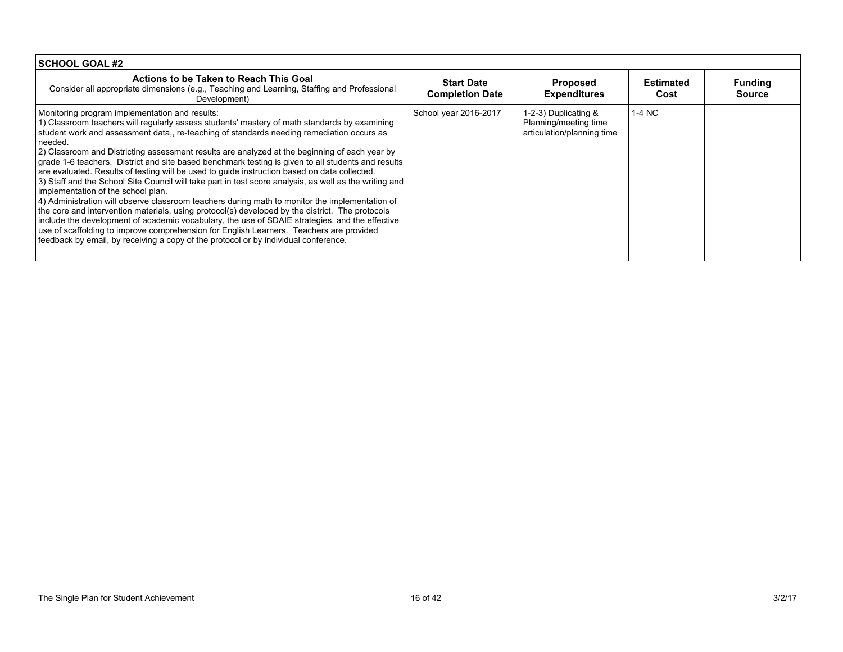| <b>SCHOOL GOAL #2</b>                                                                                                                                                                                                                                                                                                                                                                                                                                                                                                                                                                                                                                                                                                                                                                                                                                                                                                                                                                                                                                                                                                                                                                                   |                                             |                                                                             |                          |                                 |
|---------------------------------------------------------------------------------------------------------------------------------------------------------------------------------------------------------------------------------------------------------------------------------------------------------------------------------------------------------------------------------------------------------------------------------------------------------------------------------------------------------------------------------------------------------------------------------------------------------------------------------------------------------------------------------------------------------------------------------------------------------------------------------------------------------------------------------------------------------------------------------------------------------------------------------------------------------------------------------------------------------------------------------------------------------------------------------------------------------------------------------------------------------------------------------------------------------|---------------------------------------------|-----------------------------------------------------------------------------|--------------------------|---------------------------------|
| Actions to be Taken to Reach This Goal<br>Consider all appropriate dimensions (e.g., Teaching and Learning, Staffing and Professional<br>Development)                                                                                                                                                                                                                                                                                                                                                                                                                                                                                                                                                                                                                                                                                                                                                                                                                                                                                                                                                                                                                                                   | <b>Start Date</b><br><b>Completion Date</b> | <b>Proposed</b><br><b>Expenditures</b>                                      | <b>Estimated</b><br>Cost | <b>Funding</b><br><b>Source</b> |
| Monitoring program implementation and results:<br>1) Classroom teachers will regularly assess students' mastery of math standards by examining<br>student work and assessment data,, re-teaching of standards needing remediation occurs as<br>needed.<br>[2] Classroom and Districting assessment results are analyzed at the beginning of each year by<br>grade 1-6 teachers. District and site based benchmark testing is given to all students and results<br>are evaluated. Results of testing will be used to quide instruction based on data collected.<br>3) Staff and the School Site Council will take part in test score analysis, as well as the writing and<br>implementation of the school plan.<br>4) Administration will observe classroom teachers during math to monitor the implementation of<br>the core and intervention materials, using protocol(s) developed by the district. The protocols<br>include the development of academic vocabulary, the use of SDAIE strategies, and the effective<br>use of scaffolding to improve comprehension for English Learners. Teachers are provided<br>feedback by email, by receiving a copy of the protocol or by individual conference. | School year 2016-2017                       | 1-2-3) Duplicating &<br>Planning/meeting time<br>articulation/planning time | 1-4 NC                   |                                 |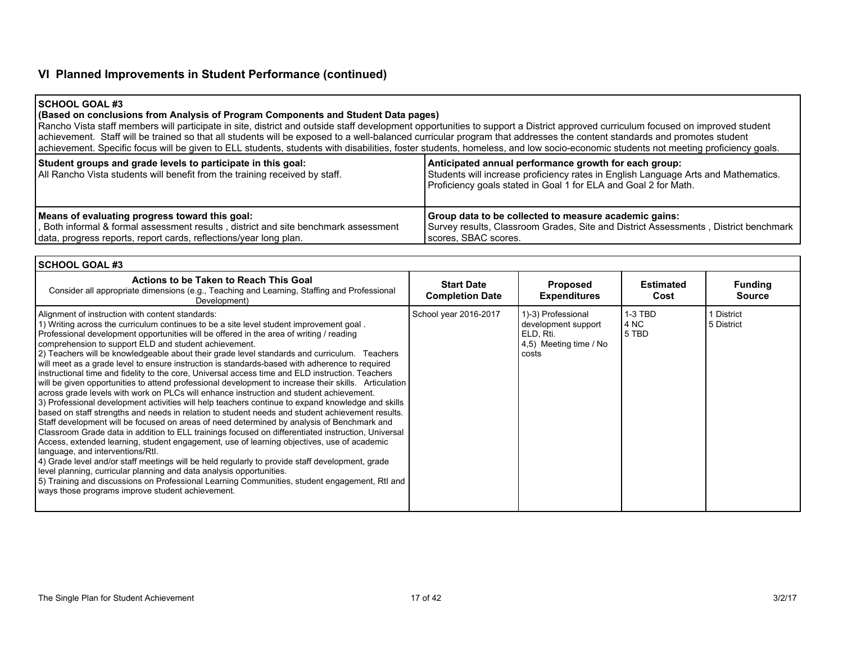## **VI Planned Improvements in Student Performance (continued)**

#### **SCHOOL GOAL #3**

## **(Based on conclusions from Analysis of Program Components and Student Data pages)**

Rancho Vista staff members will participate in site, district and outside staff development opportunities to support a District approved curriculum focused on improved student achievement. Staff will be trained so that all students will be exposed to a well-balanced curricular program that addresses the content standards and promotes student achievement. Specific focus will be given to ELL students, students with disabilities, foster students, homeless, and low socio-economic students not meeting proficiency goals.

| Student groups and grade levels to participate in this goal:<br>All Rancho Vista students will benefit from the training received by staff. | Anticipated annual performance growth for each group:<br>Students will increase proficiency rates in English Language Arts and Mathematics.<br>Proficiency goals stated in Goal 1 for ELA and Goal 2 for Math. |
|---------------------------------------------------------------------------------------------------------------------------------------------|----------------------------------------------------------------------------------------------------------------------------------------------------------------------------------------------------------------|
| Means of evaluating progress toward this goal:                                                                                              | Group data to be collected to measure academic gains:                                                                                                                                                          |
| , Both informal & formal assessment results, district and site benchmark assessment                                                         | Survey results, Classroom Grades, Site and District Assessments, District benchmark                                                                                                                            |
| data, progress reports, report cards, reflections/year long plan.                                                                           | scores, SBAC scores.                                                                                                                                                                                           |

| I SCHOOL GOAL #3                                                                                                                                                                                                                                                                                                                                                                                                                                                                                                                                                                                                                                                                                                                                                                                                                                                                                                                                                                                                                                                                                                                                                                                                                                                                                                                                                                                                                                                                                                                                                                                                                                                                           |                                             |                                                                                           |                            |                                 |
|--------------------------------------------------------------------------------------------------------------------------------------------------------------------------------------------------------------------------------------------------------------------------------------------------------------------------------------------------------------------------------------------------------------------------------------------------------------------------------------------------------------------------------------------------------------------------------------------------------------------------------------------------------------------------------------------------------------------------------------------------------------------------------------------------------------------------------------------------------------------------------------------------------------------------------------------------------------------------------------------------------------------------------------------------------------------------------------------------------------------------------------------------------------------------------------------------------------------------------------------------------------------------------------------------------------------------------------------------------------------------------------------------------------------------------------------------------------------------------------------------------------------------------------------------------------------------------------------------------------------------------------------------------------------------------------------|---------------------------------------------|-------------------------------------------------------------------------------------------|----------------------------|---------------------------------|
| Actions to be Taken to Reach This Goal<br>Consider all appropriate dimensions (e.g., Teaching and Learning, Staffing and Professional<br>Development)                                                                                                                                                                                                                                                                                                                                                                                                                                                                                                                                                                                                                                                                                                                                                                                                                                                                                                                                                                                                                                                                                                                                                                                                                                                                                                                                                                                                                                                                                                                                      | <b>Start Date</b><br><b>Completion Date</b> | <b>Proposed</b><br><b>Expenditures</b>                                                    | <b>Estimated</b><br>Cost   | <b>Funding</b><br><b>Source</b> |
| Alignment of instruction with content standards:<br>1) Writing across the curriculum continues to be a site level student improvement goal.<br>Professional development opportunities will be offered in the area of writing / reading<br>comprehension to support ELD and student achievement.<br>[2] Teachers will be knowledgeable about their grade level standards and curriculum. Teachers<br>will meet as a grade level to ensure instruction is standards-based with adherence to required<br>instructional time and fidelity to the core, Universal access time and ELD instruction. Teachers<br>will be given opportunities to attend professional development to increase their skills. Articulation<br>across grade levels with work on PLCs will enhance instruction and student achievement.<br>3) Professional development activities will help teachers continue to expand knowledge and skills<br>based on staff strengths and needs in relation to student needs and student achievement results.<br>Staff development will be focused on areas of need determined by analysis of Benchmark and<br>Classroom Grade data in addition to ELL trainings focused on differentiated instruction, Universal<br>Access, extended learning, student engagement, use of learning objectives, use of academic<br>language, and interventions/Rtl.<br>4) Grade level and/or staff meetings will be held regularly to provide staff development, grade<br>level planning, curricular planning and data analysis opportunities.<br>[5] Training and discussions on Professional Learning Communities, student engagement, RtI and<br>ways those programs improve student achievement. | School year 2016-2017                       | 1)-3) Professional<br>development support<br>ELD. Rti.<br>4,5) Meeting time / No<br>costs | $1-3$ TBD<br>4 NC<br>5 TBD | 1 District<br>5 District        |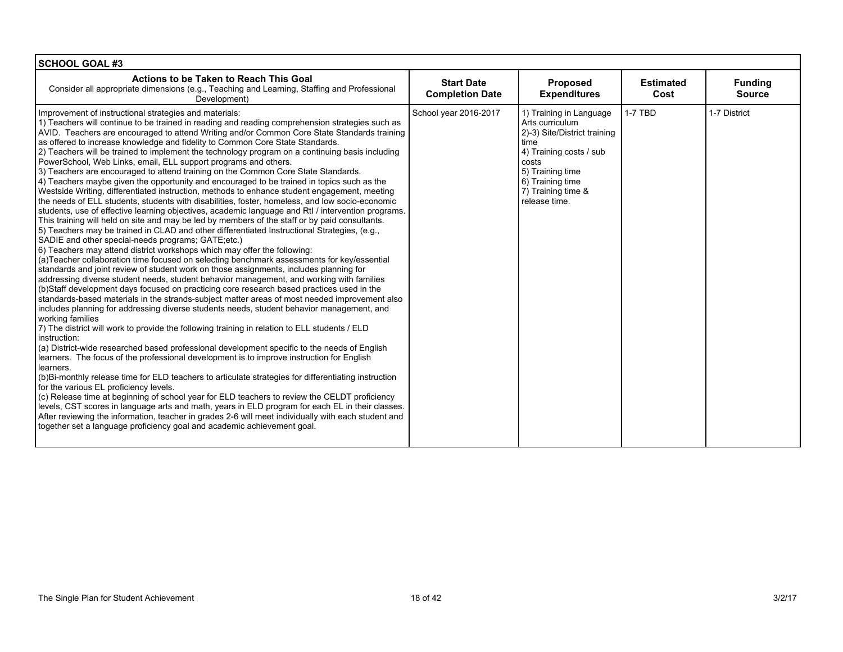| <b>SCHOOL GOAL #3</b>                                                                                                                                                                                                                                                                                                                                                                                                                                                                                                                                                                                                                                                                                                                                                                                                                                                                                                                                                                                                                                                                                                                                                                                                                                                                                                                                                                                                                                                                                                                                                                                                                                                                                                                                                                                                                                                                                                                                                                                                                                                                                                                                                                                                                                                                                                                                                                                                                                                                                                                                                                                                                                                                                                                                                                                                    |                                             |                                                                                                                                                                                                       |                          |                                 |
|--------------------------------------------------------------------------------------------------------------------------------------------------------------------------------------------------------------------------------------------------------------------------------------------------------------------------------------------------------------------------------------------------------------------------------------------------------------------------------------------------------------------------------------------------------------------------------------------------------------------------------------------------------------------------------------------------------------------------------------------------------------------------------------------------------------------------------------------------------------------------------------------------------------------------------------------------------------------------------------------------------------------------------------------------------------------------------------------------------------------------------------------------------------------------------------------------------------------------------------------------------------------------------------------------------------------------------------------------------------------------------------------------------------------------------------------------------------------------------------------------------------------------------------------------------------------------------------------------------------------------------------------------------------------------------------------------------------------------------------------------------------------------------------------------------------------------------------------------------------------------------------------------------------------------------------------------------------------------------------------------------------------------------------------------------------------------------------------------------------------------------------------------------------------------------------------------------------------------------------------------------------------------------------------------------------------------------------------------------------------------------------------------------------------------------------------------------------------------------------------------------------------------------------------------------------------------------------------------------------------------------------------------------------------------------------------------------------------------------------------------------------------------------------------------------------------------|---------------------------------------------|-------------------------------------------------------------------------------------------------------------------------------------------------------------------------------------------------------|--------------------------|---------------------------------|
| Actions to be Taken to Reach This Goal<br>Consider all appropriate dimensions (e.g., Teaching and Learning, Staffing and Professional<br>Development)                                                                                                                                                                                                                                                                                                                                                                                                                                                                                                                                                                                                                                                                                                                                                                                                                                                                                                                                                                                                                                                                                                                                                                                                                                                                                                                                                                                                                                                                                                                                                                                                                                                                                                                                                                                                                                                                                                                                                                                                                                                                                                                                                                                                                                                                                                                                                                                                                                                                                                                                                                                                                                                                    | <b>Start Date</b><br><b>Completion Date</b> | Proposed<br><b>Expenditures</b>                                                                                                                                                                       | <b>Estimated</b><br>Cost | <b>Funding</b><br><b>Source</b> |
| Improvement of instructional strategies and materials:<br>1) Teachers will continue to be trained in reading and reading comprehension strategies such as<br>AVID. Teachers are encouraged to attend Writing and/or Common Core State Standards training<br>as offered to increase knowledge and fidelity to Common Core State Standards.<br>2) Teachers will be trained to implement the technology program on a continuing basis including<br>PowerSchool, Web Links, email, ELL support programs and others.<br>3) Teachers are encouraged to attend training on the Common Core State Standards.<br>4) Teachers maybe given the opportunity and encouraged to be trained in topics such as the<br>Westside Writing, differentiated instruction, methods to enhance student engagement, meeting<br>the needs of ELL students, students with disabilities, foster, homeless, and low socio-economic<br>students, use of effective learning objectives, academic language and RtI / intervention programs.<br>This training will held on site and may be led by members of the staff or by paid consultants.<br>5) Teachers may be trained in CLAD and other differentiated Instructional Strategies, (e.g.,<br>SADIE and other special-needs programs; GATE; etc.)<br>6) Teachers may attend district workshops which may offer the following:<br>(a) Teacher collaboration time focused on selecting benchmark assessments for key/essential<br>standards and joint review of student work on those assignments, includes planning for<br>addressing diverse student needs, student behavior management, and working with families<br>(b)Staff development days focused on practicing core research based practices used in the<br>standards-based materials in the strands-subject matter areas of most needed improvement also<br>includes planning for addressing diverse students needs, student behavior management, and<br>working families<br>7) The district will work to provide the following training in relation to ELL students / ELD<br>instruction:<br>(a) District-wide researched based professional development specific to the needs of English<br>learners. The focus of the professional development is to improve instruction for English<br>learners.<br>(b)Bi-monthly release time for ELD teachers to articulate strategies for differentiating instruction<br>for the various EL proficiency levels.<br>(c) Release time at beginning of school year for ELD teachers to review the CELDT proficiency<br>levels, CST scores in language arts and math, years in ELD program for each EL in their classes.<br>After reviewing the information, teacher in grades 2-6 will meet individually with each student and<br>together set a language proficiency goal and academic achievement goal. | School year 2016-2017                       | 1) Training in Language<br>Arts curriculum<br>2)-3) Site/District training<br>time<br>4) Training costs / sub<br>costs<br>5) Training time<br>6) Training time<br>7) Training time &<br>release time. | 1-7 TBD                  | 1-7 District                    |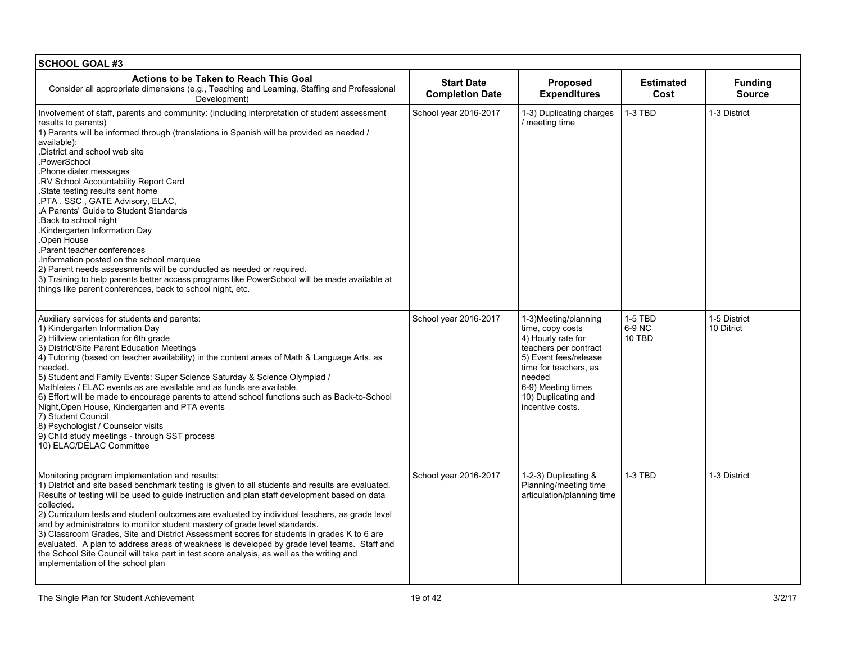| <b>SCHOOL GOAL #3</b>                                                                                                                                                                                                                                                                                                                                                                                                                                                                                                                                                                                                                                                                                                                                                                                                                                 |                                             |                                                                                                                                                                                                                      |                             |                                 |
|-------------------------------------------------------------------------------------------------------------------------------------------------------------------------------------------------------------------------------------------------------------------------------------------------------------------------------------------------------------------------------------------------------------------------------------------------------------------------------------------------------------------------------------------------------------------------------------------------------------------------------------------------------------------------------------------------------------------------------------------------------------------------------------------------------------------------------------------------------|---------------------------------------------|----------------------------------------------------------------------------------------------------------------------------------------------------------------------------------------------------------------------|-----------------------------|---------------------------------|
| Actions to be Taken to Reach This Goal<br>Consider all appropriate dimensions (e.g., Teaching and Learning, Staffing and Professional<br>Development)                                                                                                                                                                                                                                                                                                                                                                                                                                                                                                                                                                                                                                                                                                 | <b>Start Date</b><br><b>Completion Date</b> | Proposed<br><b>Expenditures</b>                                                                                                                                                                                      | <b>Estimated</b><br>Cost    | <b>Funding</b><br><b>Source</b> |
| Involvement of staff, parents and community: (including interpretation of student assessment<br>results to parents)<br>1) Parents will be informed through (translations in Spanish will be provided as needed /<br>available):<br>District and school web site<br>PowerSchool<br>Phone dialer messages<br>RV School Accountability Report Card<br>State testing results sent home<br>.PTA, SSC, GATE Advisory, ELAC,<br>A Parents' Guide to Student Standards<br>Back to school night<br>Kindergarten Information Day<br>Open House<br>Parent teacher conferences<br>Information posted on the school marquee<br>2) Parent needs assessments will be conducted as needed or required.<br>3) Training to help parents better access programs like PowerSchool will be made available at<br>things like parent conferences, back to school night, etc. | School year 2016-2017                       | 1-3) Duplicating charges<br>/ meeting time                                                                                                                                                                           | 1-3 TBD                     | 1-3 District                    |
| Auxiliary services for students and parents:<br>1) Kindergarten Information Day<br>2) Hillview orientation for 6th grade<br>3) District/Site Parent Education Meetings<br>4) Tutoring (based on teacher availability) in the content areas of Math & Language Arts, as<br>needed.<br>5) Student and Family Events: Super Science Saturday & Science Olympiad /<br>Mathletes / ELAC events as are available and as funds are available.<br>6) Effort will be made to encourage parents to attend school functions such as Back-to-School<br>Night, Open House, Kindergarten and PTA events<br>7) Student Council<br>8) Psychologist / Counselor visits<br>9) Child study meetings - through SST process<br>10) ELAC/DELAC Committee                                                                                                                    | School year 2016-2017                       | 1-3)Meeting/planning<br>time, copy costs<br>4) Hourly rate for<br>teachers per contract<br>5) Event fees/release<br>time for teachers, as<br>needed<br>6-9) Meeting times<br>10) Duplicating and<br>incentive costs. | 1-5 TBD<br>6-9 NC<br>10 TBD | 1-5 District<br>10 Ditrict      |
| Monitoring program implementation and results:<br>1) District and site based benchmark testing is given to all students and results are evaluated.<br>Results of testing will be used to guide instruction and plan staff development based on data<br>collected.<br>2) Curriculum tests and student outcomes are evaluated by individual teachers, as grade level<br>and by administrators to monitor student mastery of grade level standards.<br>3) Classroom Grades, Site and District Assessment scores for students in grades K to 6 are<br>evaluated. A plan to address areas of weakness is developed by grade level teams. Staff and<br>the School Site Council will take part in test score analysis, as well as the writing and<br>implementation of the school plan                                                                       | School year 2016-2017                       | 1-2-3) Duplicating &<br>Planning/meeting time<br>articulation/planning time                                                                                                                                          | 1-3 TBD                     | 1-3 District                    |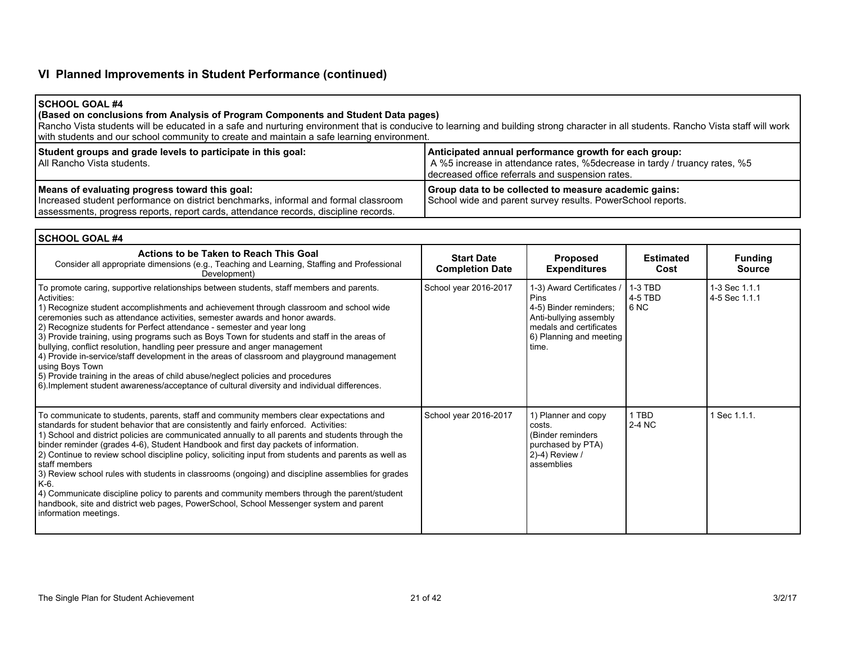# **VI Planned Improvements in Student Performance (continued)**

## **SCHOOL GOAL #4**

#### **(Based on conclusions from Analysis of Program Components and Student Data pages)**

Rancho Vista students will be educated in a safe and nurturing environment that is conducive to learning and building strong character in all students. Rancho Vista staff will work with students and our school community to create and maintain a safe learning environment.

| Student groups and grade levels to participate in this goal:<br>I All Rancho Vista students.                                                                                                                                  | Anticipated annual performance growth for each group:<br>A %5 increase in attendance rates, %5 decrease in tardy / truancy rates, %5<br>I decreased office referrals and suspension rates. |
|-------------------------------------------------------------------------------------------------------------------------------------------------------------------------------------------------------------------------------|--------------------------------------------------------------------------------------------------------------------------------------------------------------------------------------------|
| Means of evaluating progress toward this goal:<br>Increased student performance on district benchmarks, informal and formal classroom<br>assessments, progress reports, report cards, attendance records, discipline records. | Group data to be collected to measure academic gains:<br>School wide and parent survey results. PowerSchool reports.                                                                       |

| <b>SCHOOL GOAL #4</b>                                                                                                                                                                                                                                                                                                                                                                                                                                                                                                                                                                                                                                                                                                                                                                                                                         |                                             |                                                                                                                                                             |                                         |                                 |  |
|-----------------------------------------------------------------------------------------------------------------------------------------------------------------------------------------------------------------------------------------------------------------------------------------------------------------------------------------------------------------------------------------------------------------------------------------------------------------------------------------------------------------------------------------------------------------------------------------------------------------------------------------------------------------------------------------------------------------------------------------------------------------------------------------------------------------------------------------------|---------------------------------------------|-------------------------------------------------------------------------------------------------------------------------------------------------------------|-----------------------------------------|---------------------------------|--|
| Actions to be Taken to Reach This Goal<br>Consider all appropriate dimensions (e.g., Teaching and Learning, Staffing and Professional<br>Development)                                                                                                                                                                                                                                                                                                                                                                                                                                                                                                                                                                                                                                                                                         | <b>Start Date</b><br><b>Completion Date</b> | <b>Proposed</b><br><b>Expenditures</b>                                                                                                                      | <b>Estimated</b><br>Cost                | <b>Funding</b><br><b>Source</b> |  |
| To promote caring, supportive relationships between students, staff members and parents.<br>Activities:<br>1) Recognize student accomplishments and achievement through classroom and school wide<br>ceremonies such as attendance activities, semester awards and honor awards.<br>2) Recognize students for Perfect attendance - semester and year long<br>3) Provide training, using programs such as Boys Town for students and staff in the areas of<br>bullying, conflict resolution, handling peer pressure and anger management<br>4) Provide in-service/staff development in the areas of classroom and playground management<br>using Boys Town<br>5) Provide training in the areas of child abuse/neglect policies and procedures<br>6) Implement student awareness/acceptance of cultural diversity and individual differences.   | School year 2016-2017                       | 1-3) Award Certificates /<br><b>Pins</b><br>4-5) Binder reminders;<br>Anti-bullying assembly<br>medals and certificates<br>6) Planning and meeting<br>time. | $1-3$ TBD<br>4-5 TBD<br>6 <sub>NC</sub> | 1-3 Sec 1.1.1<br>4-5 Sec 1.1.1  |  |
| To communicate to students, parents, staff and community members clear expectations and<br>standards for student behavior that are consistently and fairly enforced. Activities:<br>1) School and district policies are communicated annually to all parents and students through the<br>binder reminder (grades 4-6), Student Handbook and first day packets of information.<br>(2) Continue to review school discipline policy, soliciting input from students and parents as well as<br>l staff members<br>3) Review school rules with students in classrooms (ongoing) and discipline assemblies for grades<br>$K-6$ .<br>4) Communicate discipline policy to parents and community members through the parent/student<br>handbook, site and district web pages, PowerSchool, School Messenger system and parent<br>information meetings. | School year 2016-2017                       | 1) Planner and copy<br>costs.<br>(Binder reminders)<br>purchased by PTA)<br>2)-4) Review /<br>assemblies                                                    | 1 TBD<br>2-4 NC                         | Sec 1.1.1.                      |  |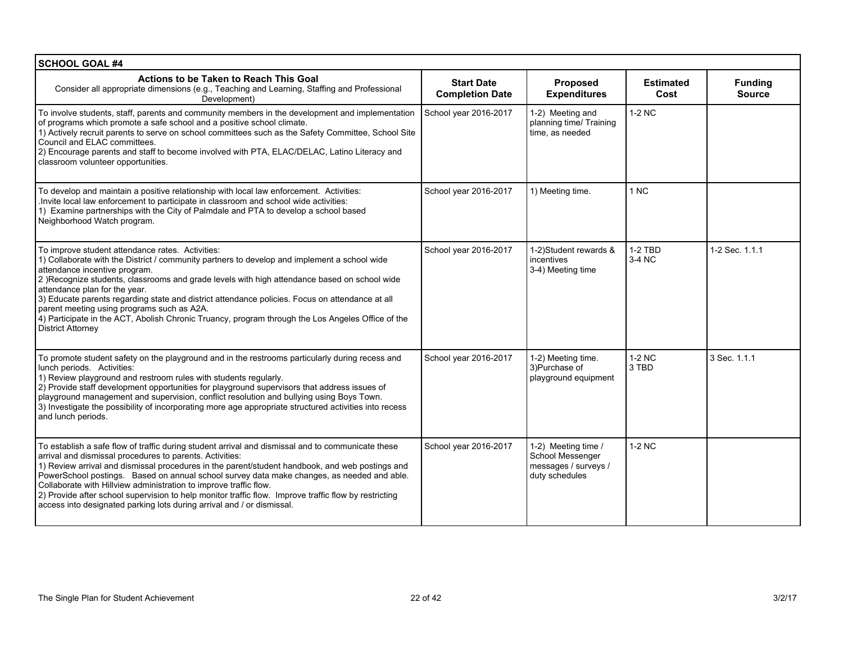| <b>SCHOOL GOAL #4</b>                                                                                                                                                                                                                                                                                                                                                                                                                                                                                                                                                                                                  |                                             |                                                                                   |                          |                                 |
|------------------------------------------------------------------------------------------------------------------------------------------------------------------------------------------------------------------------------------------------------------------------------------------------------------------------------------------------------------------------------------------------------------------------------------------------------------------------------------------------------------------------------------------------------------------------------------------------------------------------|---------------------------------------------|-----------------------------------------------------------------------------------|--------------------------|---------------------------------|
| Actions to be Taken to Reach This Goal<br>Consider all appropriate dimensions (e.g., Teaching and Learning, Staffing and Professional<br>Development)                                                                                                                                                                                                                                                                                                                                                                                                                                                                  | <b>Start Date</b><br><b>Completion Date</b> | Proposed<br><b>Expenditures</b>                                                   | <b>Estimated</b><br>Cost | <b>Funding</b><br><b>Source</b> |
| To involve students, staff, parents and community members in the development and implementation<br>of programs which promote a safe school and a positive school climate.<br>1) Actively recruit parents to serve on school committees such as the Safety Committee, School Site<br>Council and ELAC committees.<br>2) Encourage parents and staff to become involved with PTA, ELAC/DELAC, Latino Literacy and<br>classroom volunteer opportunities.                                                                                                                                                                  | School year 2016-2017                       | 1-2) Meeting and<br>planning time/ Training<br>time, as needed                    | 1-2 NC                   |                                 |
| To develop and maintain a positive relationship with local law enforcement. Activities:<br>. Invite local law enforcement to participate in classroom and school wide activities:<br>1) Examine partnerships with the City of Palmdale and PTA to develop a school based<br>Neighborhood Watch program.                                                                                                                                                                                                                                                                                                                | School year 2016-2017                       | 1) Meeting time.                                                                  | 1 NC                     |                                 |
| To improve student attendance rates. Activities:<br>1) Collaborate with the District / community partners to develop and implement a school wide<br>attendance incentive program.<br>2) Recognize students, classrooms and grade levels with high attendance based on school wide<br>attendance plan for the year.<br>3) Educate parents regarding state and district attendance policies. Focus on attendance at all<br>parent meeting using programs such as A2A.<br>4) Participate in the ACT, Abolish Chronic Truancy, program through the Los Angeles Office of the<br><b>District Attorney</b>                   | School year 2016-2017                       | 1-2) Student rewards &<br>incentives<br>3-4) Meeting time                         | $1-2$ TBD<br>3-4 NC      | 1-2 Sec. 1.1.1                  |
| To promote student safety on the playground and in the restrooms particularly during recess and<br>lunch periods. Activities:<br>1) Review playground and restroom rules with students regularly.<br>2) Provide staff development opportunities for playground supervisors that address issues of<br>playground management and supervision, conflict resolution and bullying using Boys Town.<br>3) Investigate the possibility of incorporating more age appropriate structured activities into recess<br>and lunch periods.                                                                                          | School year 2016-2017                       | 1-2) Meeting time.<br>3) Purchase of<br>playground equipment                      | 1-2 NC<br>3 TBD          | 3 Sec. 1.1.1                    |
| To establish a safe flow of traffic during student arrival and dismissal and to communicate these<br>arrival and dismissal procedures to parents. Activities:<br>1) Review arrival and dismissal procedures in the parent/student handbook, and web postings and<br>PowerSchool postings. Based on annual school survey data make changes, as needed and able.<br>Collaborate with Hillview administration to improve traffic flow.<br>2) Provide after school supervision to help monitor traffic flow. Improve traffic flow by restricting<br>access into designated parking lots during arrival and / or dismissal. | School year 2016-2017                       | 1-2) Meeting time /<br>School Messenger<br>messages / surveys /<br>duty schedules | 1-2 NC                   |                                 |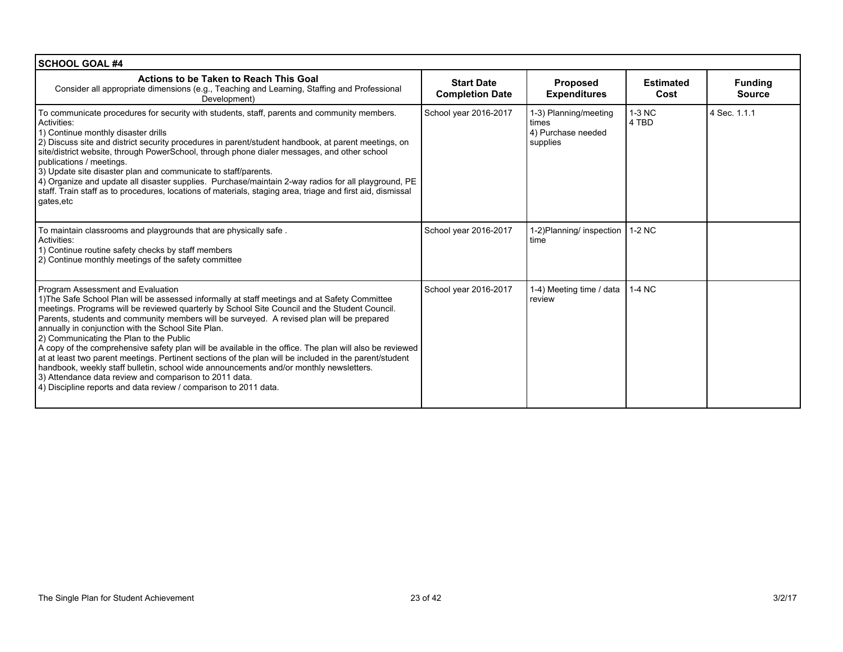| <b>SCHOOL GOAL #4</b>                                                                                                                                                                                                                                                                                                                                                                                                                                                                                                                                                                                                                                                                                                                                                                                                                                                          |                                             |                                                                  |                          |                                 |
|--------------------------------------------------------------------------------------------------------------------------------------------------------------------------------------------------------------------------------------------------------------------------------------------------------------------------------------------------------------------------------------------------------------------------------------------------------------------------------------------------------------------------------------------------------------------------------------------------------------------------------------------------------------------------------------------------------------------------------------------------------------------------------------------------------------------------------------------------------------------------------|---------------------------------------------|------------------------------------------------------------------|--------------------------|---------------------------------|
| Actions to be Taken to Reach This Goal<br>Consider all appropriate dimensions (e.g., Teaching and Learning, Staffing and Professional<br>Development)                                                                                                                                                                                                                                                                                                                                                                                                                                                                                                                                                                                                                                                                                                                          | <b>Start Date</b><br><b>Completion Date</b> | <b>Proposed</b><br><b>Expenditures</b>                           | <b>Estimated</b><br>Cost | <b>Funding</b><br><b>Source</b> |
| To communicate procedures for security with students, staff, parents and community members.<br>Activities:<br>1) Continue monthly disaster drills<br>2) Discuss site and district security procedures in parent/student handbook, at parent meetings, on<br>site/district website, through PowerSchool, through phone dialer messages, and other school<br>publications / meetings.<br>3) Update site disaster plan and communicate to staff/parents.<br>4) Organize and update all disaster supplies. Purchase/maintain 2-way radios for all playground, PE<br>staff. Train staff as to procedures, locations of materials, staging area, triage and first aid, dismissal<br>gates, etc                                                                                                                                                                                       | School year 2016-2017                       | 1-3) Planning/meeting<br>times<br>4) Purchase needed<br>supplies | 1-3 NC<br>4 TBD          | 4 Sec. 1.1.1                    |
| To maintain classrooms and playgrounds that are physically safe.<br>Activities:<br>1) Continue routine safety checks by staff members<br>2) Continue monthly meetings of the safety committee                                                                                                                                                                                                                                                                                                                                                                                                                                                                                                                                                                                                                                                                                  | School year 2016-2017                       | 1-2) Planning/ inspection<br>time                                | 1-2 NC                   |                                 |
| Program Assessment and Evaluation<br>1) The Safe School Plan will be assessed informally at staff meetings and at Safety Committee<br>meetings. Programs will be reviewed quarterly by School Site Council and the Student Council.<br>Parents, students and community members will be surveyed. A revised plan will be prepared<br>annually in conjunction with the School Site Plan.<br>2) Communicating the Plan to the Public<br>A copy of the comprehensive safety plan will be available in the office. The plan will also be reviewed<br>at at least two parent meetings. Pertinent sections of the plan will be included in the parent/student<br>handbook, weekly staff bulletin, school wide announcements and/or monthly newsletters.<br>3) Attendance data review and comparison to 2011 data.<br>4) Discipline reports and data review / comparison to 2011 data. | School year 2016-2017                       | 1-4) Meeting time / data<br>review                               | 1-4 NC                   |                                 |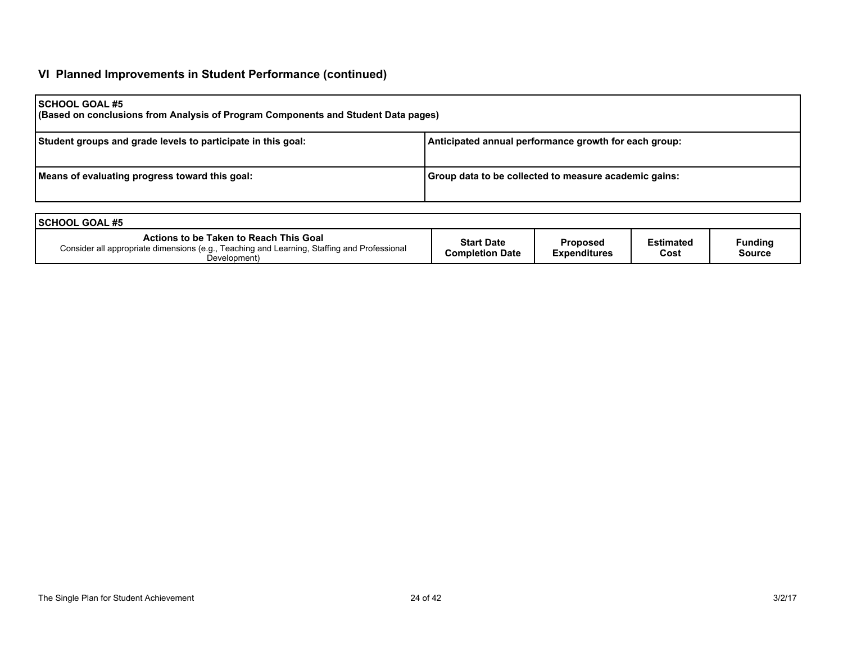# **VI Planned Improvements in Student Performance (continued)**

| <b>SCHOOL GOAL #5</b><br>(Based on conclusions from Analysis of Program Components and Student Data pages) |                                                       |  |  |  |  |
|------------------------------------------------------------------------------------------------------------|-------------------------------------------------------|--|--|--|--|
| Student groups and grade levels to participate in this goal:                                               | Anticipated annual performance growth for each group: |  |  |  |  |
| Means of evaluating progress toward this goal:                                                             | Group data to be collected to measure academic gains: |  |  |  |  |

| <b>ISCHOOL GOAL #5</b>                                                                                                                                |                                             |                                 |                          |                          |
|-------------------------------------------------------------------------------------------------------------------------------------------------------|---------------------------------------------|---------------------------------|--------------------------|--------------------------|
| Actions to be Taken to Reach This Goal<br>Consider all appropriate dimensions (e.g., Teaching and Learning, Staffing and Professional<br>Development) | <b>Start Date</b><br><b>Completion Date</b> | Proposed<br><b>Expenditures</b> | <b>Estimated</b><br>Cost | Funding<br><b>Source</b> |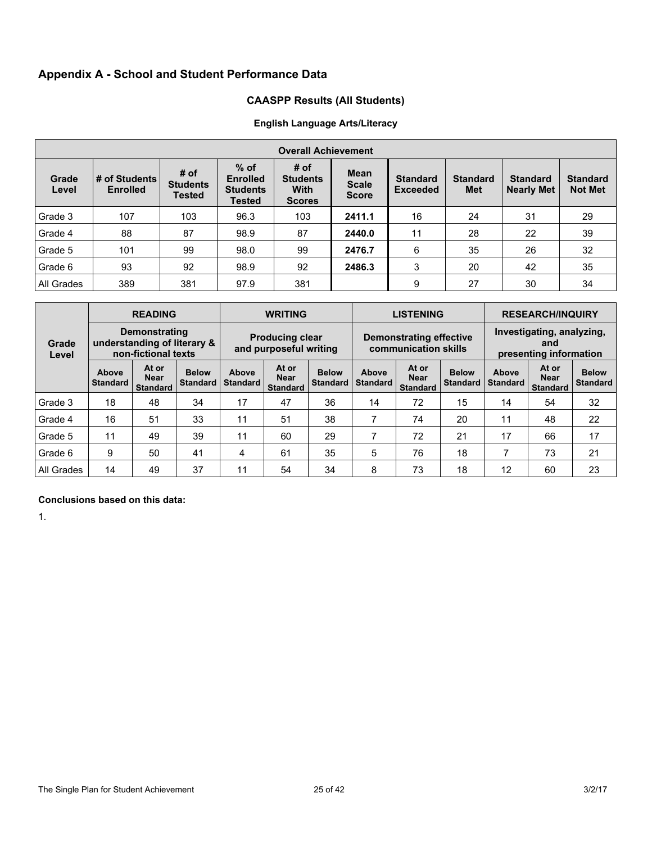# **Appendix A - School and Student Performance Data**

# **CAASPP Results (All Students)**

# **English Language Arts/Literacy**

|                | <b>Overall Achievement</b>       |                                          |                                                               |                                                         |                                             |                                    |                        |                                      |                                   |
|----------------|----------------------------------|------------------------------------------|---------------------------------------------------------------|---------------------------------------------------------|---------------------------------------------|------------------------------------|------------------------|--------------------------------------|-----------------------------------|
| Grade<br>Level | # of Students<br><b>Enrolled</b> | # of<br><b>Students</b><br><b>Tested</b> | $%$ of<br><b>Enrolled</b><br><b>Students</b><br><b>Tested</b> | # of<br><b>Students</b><br><b>With</b><br><b>Scores</b> | <b>Mean</b><br><b>Scale</b><br><b>Score</b> | <b>Standard</b><br><b>Exceeded</b> | <b>Standard</b><br>Met | <b>Standard</b><br><b>Nearly Met</b> | <b>Standard</b><br><b>Not Met</b> |
| Grade 3        | 107                              | 103                                      | 96.3                                                          | 103                                                     | 2411.1                                      | 16                                 | 24                     | 31                                   | 29                                |
| Grade 4        | 88                               | 87                                       | 98.9                                                          | 87                                                      | 2440.0                                      | 11                                 | 28                     | 22                                   | 39                                |
| Grade 5        | 101                              | 99                                       | 98.0                                                          | 99                                                      | 2476.7                                      | 6                                  | 35                     | 26                                   | 32                                |
| Grade 6        | 93                               | 92                                       | 98.9                                                          | 92                                                      | 2486.3                                      | 3                                  | 20                     | 42                                   | 35                                |
| All Grades     | 389                              | 381                                      | 97.9                                                          | 381                                                     |                                             | 9                                  | 27                     | 30                                   | 34                                |

|                |                          | <b>READING</b>                                                             |                                 |                                                  | <b>WRITING</b>                          |                                 |                          | <b>LISTENING</b>                                       |                                 | <b>RESEARCH/INQUIRY</b>                                    |                                         |                                 |  |
|----------------|--------------------------|----------------------------------------------------------------------------|---------------------------------|--------------------------------------------------|-----------------------------------------|---------------------------------|--------------------------|--------------------------------------------------------|---------------------------------|------------------------------------------------------------|-----------------------------------------|---------------------------------|--|
| Grade<br>Level |                          | <b>Demonstrating</b><br>understanding of literary &<br>non-fictional texts |                                 | <b>Producing clear</b><br>and purposeful writing |                                         |                                 |                          | <b>Demonstrating effective</b><br>communication skills |                                 | Investigating, analyzing,<br>and<br>presenting information |                                         |                                 |  |
|                | Above<br><b>Standard</b> | At or<br><b>Near</b><br><b>Standard</b>                                    | <b>Below</b><br><b>Standard</b> | Above<br><b>Standard</b>                         | At or<br><b>Near</b><br><b>Standard</b> | <b>Below</b><br><b>Standard</b> | Above<br><b>Standard</b> | At or<br><b>Near</b><br><b>Standard</b>                | <b>Below</b><br><b>Standard</b> | Above<br><b>Standard</b>                                   | At or<br><b>Near</b><br><b>Standard</b> | <b>Below</b><br><b>Standard</b> |  |
| Grade 3        | 18                       | 48                                                                         | 34                              | 17                                               | 47                                      | 36                              | 14                       | 72                                                     | 15                              | 14                                                         | 54                                      | 32                              |  |
| Grade 4        | 16                       | 51                                                                         | 33                              | 11                                               | 51                                      | 38                              | 7                        | 74                                                     | 20                              | 11                                                         | 48                                      | 22                              |  |
| Grade 5        | 11                       | 49                                                                         | 39                              | 11                                               | 60                                      | 29                              |                          | 72                                                     | 21                              | 17                                                         | 66                                      | 17                              |  |
| Grade 6        | 9                        | 50                                                                         | 41                              | 4                                                | 61                                      | 35                              | 5                        | 76                                                     | 18                              | 7                                                          | 73                                      | 21                              |  |
| All Grades     | 14                       | 49                                                                         | 37                              | 11                                               | 54                                      | 34                              | 8                        | 73                                                     | 18                              | 12                                                         | 60                                      | 23                              |  |

## **Conclusions based on this data:**

1.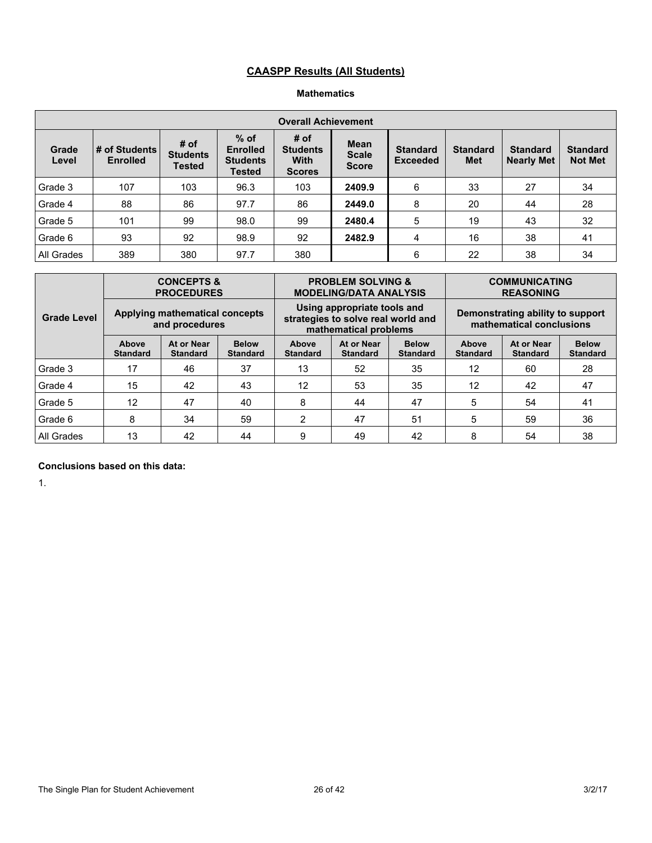# **CAASPP Results (All Students)**

## **Mathematics**

|                |                                  |                                          |                                                        | <b>Overall Achievement</b>                              |                                             |                                    |                               |                                      |                                   |
|----------------|----------------------------------|------------------------------------------|--------------------------------------------------------|---------------------------------------------------------|---------------------------------------------|------------------------------------|-------------------------------|--------------------------------------|-----------------------------------|
| Grade<br>Level | # of Students<br><b>Enrolled</b> | # of<br><b>Students</b><br><b>Tested</b> | $%$ of<br><b>Enrolled</b><br><b>Students</b><br>Tested | # of<br><b>Students</b><br><b>With</b><br><b>Scores</b> | <b>Mean</b><br><b>Scale</b><br><b>Score</b> | <b>Standard</b><br><b>Exceeded</b> | <b>Standard</b><br><b>Met</b> | <b>Standard</b><br><b>Nearly Met</b> | <b>Standard</b><br><b>Not Met</b> |
| Grade 3        | 107                              | 103                                      | 96.3                                                   | 103                                                     | 2409.9                                      | 6                                  | 33                            | 27                                   | 34                                |
| Grade 4        | 88                               | 86                                       | 97.7                                                   | 86                                                      | 2449.0                                      | 8                                  | 20                            | 44                                   | 28                                |
| Grade 5        | 101                              | 99                                       | 98.0                                                   | 99                                                      | 2480.4                                      | 5                                  | 19                            | 43                                   | 32                                |
| Grade 6        | 93                               | 92                                       | 98.9                                                   | 92                                                      | 2482.9                                      | 4                                  | 16                            | 38                                   | 41                                |
| All Grades     | 389                              | 380                                      | 97.7                                                   | 380                                                     |                                             | 6                                  | 22                            | 38                                   | 34                                |

| <b>Grade Level</b> |                                                                                              | <b>CONCEPTS &amp;</b><br><b>PROCEDURES</b>       |    |                          | <b>PROBLEM SOLVING &amp;</b><br><b>MODELING/DATA ANALYSIS</b>                              |                                 | <b>COMMUNICATING</b><br><b>REASONING</b>                     |                               |                                 |  |
|--------------------|----------------------------------------------------------------------------------------------|--------------------------------------------------|----|--------------------------|--------------------------------------------------------------------------------------------|---------------------------------|--------------------------------------------------------------|-------------------------------|---------------------------------|--|
|                    |                                                                                              | Applying mathematical concepts<br>and procedures |    |                          | Using appropriate tools and<br>strategies to solve real world and<br>mathematical problems |                                 | Demonstrating ability to support<br>mathematical conclusions |                               |                                 |  |
|                    | At or Near<br><b>Below</b><br>Above<br><b>Standard</b><br><b>Standard</b><br><b>Standard</b> |                                                  |    | Above<br><b>Standard</b> | At or Near<br><b>Standard</b>                                                              | <b>Below</b><br><b>Standard</b> | Above<br><b>Standard</b>                                     | At or Near<br><b>Standard</b> | <b>Below</b><br><b>Standard</b> |  |
| Grade 3            | 17                                                                                           | 46                                               | 37 | 13                       | 52                                                                                         | 35                              | 12                                                           | 60                            | 28                              |  |
| Grade 4            | 15                                                                                           | 42                                               | 43 | 12                       | 53                                                                                         | 35                              | 12                                                           | 42                            | 47                              |  |
| Grade 5            | 12                                                                                           | 47                                               | 40 | 8                        | 44                                                                                         | 47                              | 5                                                            | 54                            | 41                              |  |
| Grade 6            | 8                                                                                            | 34                                               | 59 | $\overline{2}$           | 47                                                                                         | 51                              | 5                                                            | 59                            | 36                              |  |
| All Grades         | 13<br>42<br>44                                                                               |                                                  |    | 9                        | 49                                                                                         | 42                              | 8                                                            | 54                            | 38                              |  |

## **Conclusions based on this data:**

1.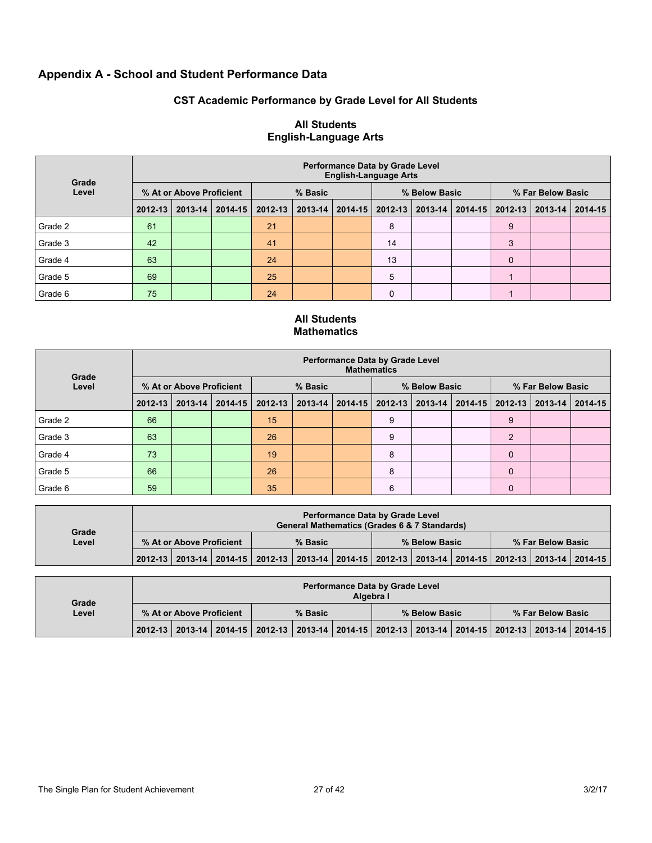# **Appendix A - School and Student Performance Data**

# **CST Academic Performance by Grade Level for All Students**

| Grade   | <b>Performance Data by Grade Level</b><br><b>English-Language Arts</b> |         |             |         |         |             |               |             |             |                   |         |         |  |  |
|---------|------------------------------------------------------------------------|---------|-------------|---------|---------|-------------|---------------|-------------|-------------|-------------------|---------|---------|--|--|
| Level   | % At or Above Proficient                                               |         |             | % Basic |         |             | % Below Basic |             |             | % Far Below Basic |         |         |  |  |
|         | $2012 - 13$                                                            | 2013-14 | $2014 - 15$ | 2012-13 | 2013-14 | $2014 - 15$ | 2012-13       | $2013 - 14$ | $2014 - 15$ | 2012-13           | 2013-14 | 2014-15 |  |  |
| Grade 2 | 61                                                                     |         |             | 21      |         |             | 8             |             |             | 9                 |         |         |  |  |
| Grade 3 | 42                                                                     |         |             | 41      |         |             | 14            |             |             | 3                 |         |         |  |  |
| Grade 4 | 63                                                                     |         |             | 24      |         |             | 13            |             |             | $\mathbf 0$       |         |         |  |  |
| Grade 5 | 69                                                                     |         |             | 25      |         |             | 5             |             |             |                   |         |         |  |  |
| Grade 6 | 75                                                                     |         |             | 24      |         |             | 0             |             |             |                   |         |         |  |  |

## **All Students English-Language Arts**

## **All Students Mathematics**

| Grade<br>Level | <b>Performance Data by Grade Level</b><br><b>Mathematics</b> |  |                       |         |                   |  |                             |  |             |                   |  |                   |
|----------------|--------------------------------------------------------------|--|-----------------------|---------|-------------------|--|-----------------------------|--|-------------|-------------------|--|-------------------|
|                | % At or Above Proficient                                     |  |                       | % Basic |                   |  | % Below Basic               |  |             | % Far Below Basic |  |                   |
|                | $2012 - 13$                                                  |  | $2013 - 14$   2014-15 |         | 2012-13   2013-14 |  | 2014-15   2012-13   2013-14 |  | $2014 - 15$ | 2012-13           |  | 2013-14   2014-15 |
| Grade 2        | 66                                                           |  |                       | 15      |                   |  | 9                           |  |             | 9                 |  |                   |
| Grade 3        | 63                                                           |  |                       | 26      |                   |  | 9                           |  |             | $\overline{2}$    |  |                   |
| Grade 4        | 73                                                           |  |                       | 19      |                   |  | 8                           |  |             | $\mathbf 0$       |  |                   |
| Grade 5        | 66                                                           |  |                       | 26      |                   |  | 8                           |  |             | $\mathbf 0$       |  |                   |
| Grade 6        | 59                                                           |  |                       | 35      |                   |  | 6                           |  |             | $\mathbf 0$       |  |                   |

| Grade | <b>Performance Data by Grade Level</b><br>General Mathematics (Grades 6 & 7 Standards) |  |                                                                                                                       |  |  |               |  |  |  |                   |  |  |
|-------|----------------------------------------------------------------------------------------|--|-----------------------------------------------------------------------------------------------------------------------|--|--|---------------|--|--|--|-------------------|--|--|
| Level | % At or Above Proficient                                                               |  | % Basic                                                                                                               |  |  | % Below Basic |  |  |  | % Far Below Basic |  |  |
|       |                                                                                        |  | 2012-13   2013-14   2014-15   2012-13   2013-14   2014-15   2012-13   2013-14   2014-15   2012-13   2013-14   2014-15 |  |  |               |  |  |  |                   |  |  |

| Grade |                          |  |  |                                                                                                 |  | Algebra I | <b>Performance Data by Grade Level</b> |  |  |                   |  |
|-------|--------------------------|--|--|-------------------------------------------------------------------------------------------------|--|-----------|----------------------------------------|--|--|-------------------|--|
| Level | % At or Above Proficient |  |  | % Basic                                                                                         |  |           | % Below Basic                          |  |  | % Far Below Basic |  |
|       |                          |  |  | 2012-13 2013-14 2014-15 2012-13 2013-14 2014-15 2012-13 2013-14 2014-15 2012-13 2013-14 2014-15 |  |           |                                        |  |  |                   |  |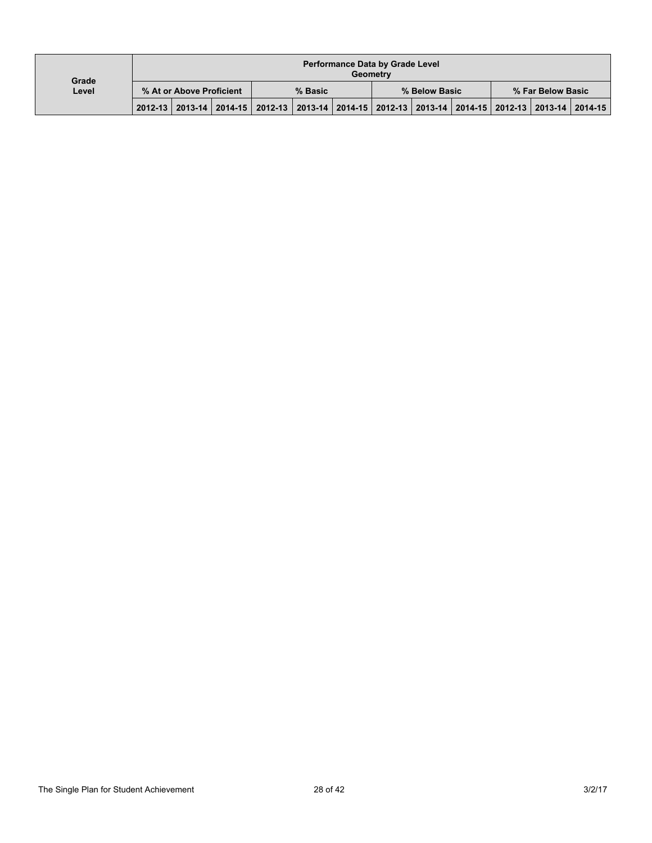| Grade |                          |  |  |                                                                                                 |  | <b>Geometry</b> | <b>Performance Data by Grade Level</b> |  |  |                   |  |
|-------|--------------------------|--|--|-------------------------------------------------------------------------------------------------|--|-----------------|----------------------------------------|--|--|-------------------|--|
| Level | % At or Above Proficient |  |  | % Basic                                                                                         |  |                 | % Below Basic                          |  |  | % Far Below Basic |  |
|       |                          |  |  | 2012-13 2013-14 2014-15 2012-13 2013-14 2014-15 2012-13 2013-14 2014-15 2012-13 2013-14 2014-15 |  |                 |                                        |  |  |                   |  |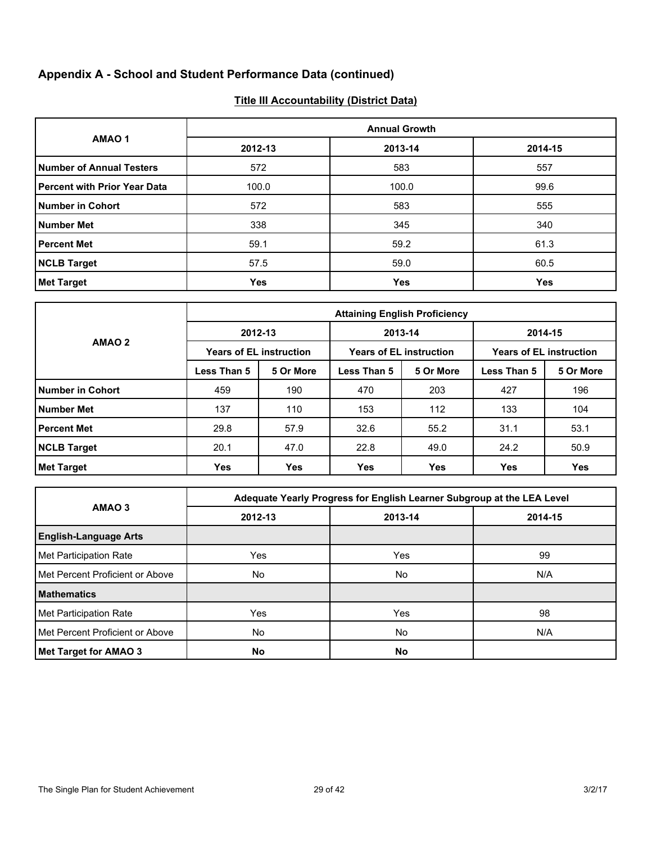# **Appendix A - School and Student Performance Data (continued)**

# **Title III Accountability (District Data)**

|                                     |            | <b>Annual Growth</b> |         |
|-------------------------------------|------------|----------------------|---------|
| AMAO <sub>1</sub>                   | 2012-13    | 2013-14              | 2014-15 |
| <b>Number of Annual Testers</b>     | 572        | 583                  | 557     |
| <b>Percent with Prior Year Data</b> | 100.0      | 100.0                | 99.6    |
| <b>Number in Cohort</b>             | 572        | 583                  | 555     |
| <b>Number Met</b>                   | 338        | 345                  | 340     |
| <b>Percent Met</b>                  | 59.1       | 59.2                 | 61.3    |
| <b>NCLB Target</b>                  | 57.5       | 59.0                 | 60.5    |
| <b>Met Target</b>                   | <b>Yes</b> | Yes                  | Yes     |

|                         | <b>Attaining English Proficiency</b> |                                |             |                                |                                |            |  |  |  |  |
|-------------------------|--------------------------------------|--------------------------------|-------------|--------------------------------|--------------------------------|------------|--|--|--|--|
|                         |                                      | 2012-13                        | 2013-14     |                                | 2014-15                        |            |  |  |  |  |
| AMAO <sub>2</sub>       |                                      | <b>Years of EL instruction</b> |             | <b>Years of EL instruction</b> | <b>Years of EL instruction</b> |            |  |  |  |  |
|                         | Less Than 5                          | 5 Or More                      | Less Than 5 | 5 Or More                      | Less Than 5                    | 5 Or More  |  |  |  |  |
| <b>Number in Cohort</b> | 459                                  | 190                            | 470         | 203                            | 427                            | 196        |  |  |  |  |
| <b>Number Met</b>       | 137                                  | 110                            | 153         | 112                            | 133                            | 104        |  |  |  |  |
| <b>Percent Met</b>      | 29.8                                 | 57.9                           | 32.6        | 55.2                           | 31.1                           | 53.1       |  |  |  |  |
| <b>NCLB Target</b>      | 20.1                                 | 47.0                           | 22.8        | 49.0                           | 24.2                           | 50.9       |  |  |  |  |
| <b>Met Target</b>       | Yes                                  | <b>Yes</b>                     | Yes         | Yes                            | <b>Yes</b>                     | <b>Yes</b> |  |  |  |  |

|                                 |         | Adequate Yearly Progress for English Learner Subgroup at the LEA Level |         |
|---------------------------------|---------|------------------------------------------------------------------------|---------|
| AMAO <sub>3</sub>               | 2012-13 | 2013-14                                                                | 2014-15 |
| <b>English-Language Arts</b>    |         |                                                                        |         |
| Met Participation Rate          | Yes     | Yes                                                                    | 99      |
| Met Percent Proficient or Above | No.     | No                                                                     | N/A     |
| <b>Mathematics</b>              |         |                                                                        |         |
| Met Participation Rate          | Yes     | Yes                                                                    | 98      |
| Met Percent Proficient or Above | No      | No.                                                                    | N/A     |
| Met Target for AMAO 3           | No      | No                                                                     |         |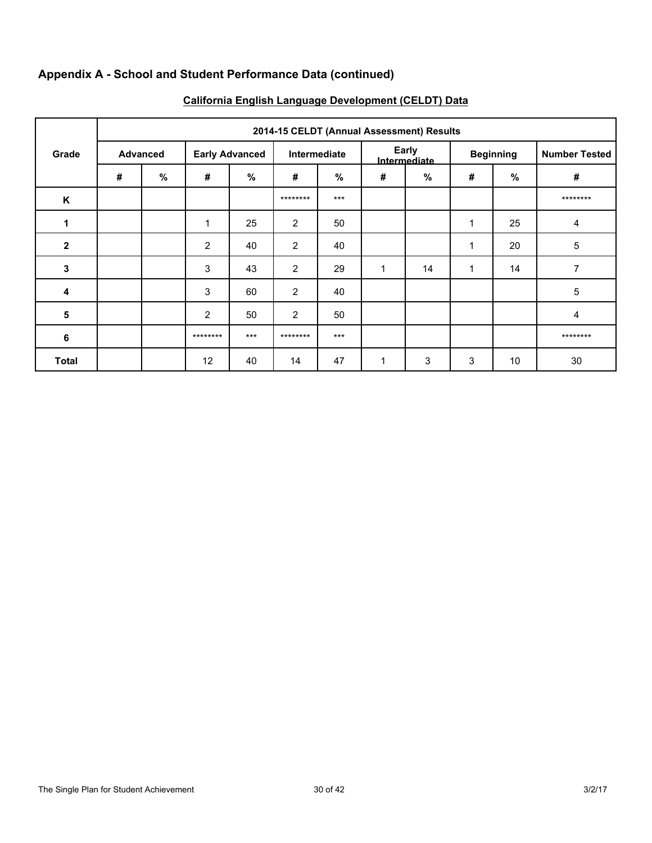# **Appendix A - School and Student Performance Data (continued)**

|             | 2014-15 CELDT (Annual Assessment) Results |                 |                       |       |                |              |   |                       |   |                  |                      |  |  |  |
|-------------|-------------------------------------------|-----------------|-----------------------|-------|----------------|--------------|---|-----------------------|---|------------------|----------------------|--|--|--|
| Grade       |                                           | <b>Advanced</b> | <b>Early Advanced</b> |       |                | Intermediate |   | Early<br>Intermediate |   | <b>Beginning</b> | <b>Number Tested</b> |  |  |  |
|             | #                                         | %               | #                     | $\%$  | #              | %            | # | %                     | # | $\%$             | $\#$                 |  |  |  |
| K           |                                           |                 |                       |       | ********       | $***$        |   |                       |   |                  | ********             |  |  |  |
| 1           |                                           |                 | 1                     | 25    | 2              | 50           |   |                       | 1 | 25               | 4                    |  |  |  |
| $\mathbf 2$ |                                           |                 | $\overline{2}$        | 40    | 2              | 40           |   |                       | 1 | 20               | 5                    |  |  |  |
| 3           |                                           |                 | 3                     | 43    | $\overline{2}$ | 29           | 1 | 14                    | 1 | 14               | 7                    |  |  |  |
| 4           |                                           |                 | 3                     | 60    | $\overline{2}$ | 40           |   |                       |   |                  | 5                    |  |  |  |
| 5           |                                           |                 | $\overline{2}$        | 50    | $\overline{2}$ | 50           |   |                       |   |                  | 4                    |  |  |  |
| 6           |                                           |                 | ********              | $***$ | ********       | $***$        |   |                       |   |                  | ********             |  |  |  |
| Total       |                                           |                 | 12                    | 40    | 14             | 47           | 1 | 3                     | 3 | 10               | 30                   |  |  |  |

# **California English Language Development (CELDT) Data**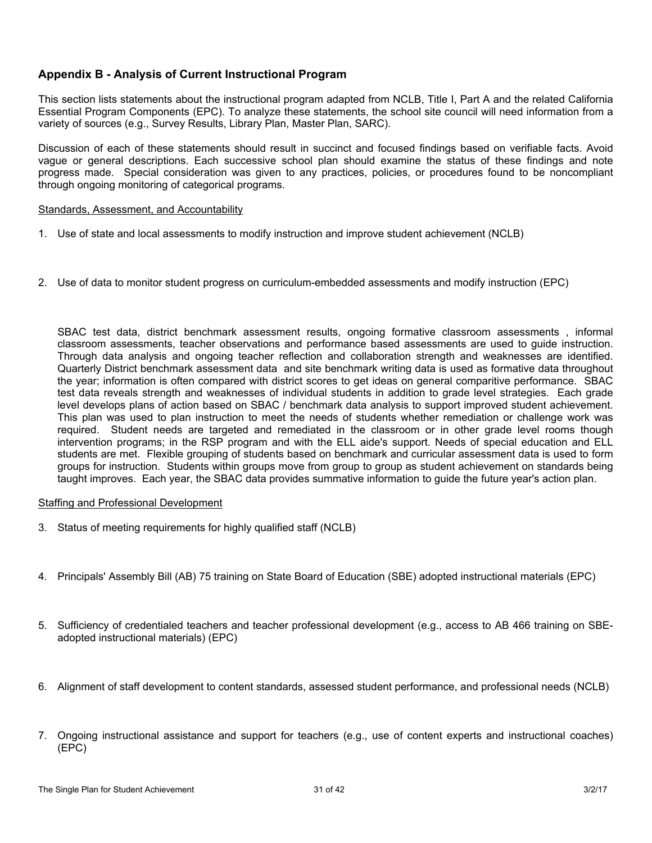# **Appendix B - Analysis of Current Instructional Program**

This section lists statements about the instructional program adapted from NCLB, Title I, Part A and the related California Essential Program Components (EPC). To analyze these statements, the school site council will need information from a variety of sources (e.g., Survey Results, Library Plan, Master Plan, SARC).

Discussion of each of these statements should result in succinct and focused findings based on verifiable facts. Avoid vague or general descriptions. Each successive school plan should examine the status of these findings and note progress made. Special consideration was given to any practices, policies, or procedures found to be noncompliant through ongoing monitoring of categorical programs.

#### Standards, Assessment, and Accountability

- 1. Use of state and local assessments to modify instruction and improve student achievement (NCLB)
- 2. Use of data to monitor student progress on curriculum-embedded assessments and modify instruction (EPC)

SBAC test data, district benchmark assessment results, ongoing formative classroom assessments , informal classroom assessments, teacher observations and performance based assessments are used to guide instruction. Through data analysis and ongoing teacher reflection and collaboration strength and weaknesses are identified. Quarterly District benchmark assessment data and site benchmark writing data is used as formative data throughout the year; information is often compared with district scores to get ideas on general comparitive performance. SBAC test data reveals strength and weaknesses of individual students in addition to grade level strategies. Each grade level develops plans of action based on SBAC / benchmark data analysis to support improved student achievement. This plan was used to plan instruction to meet the needs of students whether remediation or challenge work was required. Student needs are targeted and remediated in the classroom or in other grade level rooms though intervention programs; in the RSP program and with the ELL aide's support. Needs of special education and ELL students are met. Flexible grouping of students based on benchmark and curricular assessment data is used to form groups for instruction. Students within groups move from group to group as student achievement on standards being taught improves. Each year, the SBAC data provides summative information to guide the future year's action plan.

### Staffing and Professional Development

- 3. Status of meeting requirements for highly qualified staff (NCLB)
- 4. Principals' Assembly Bill (AB) 75 training on State Board of Education (SBE) adopted instructional materials (EPC)
- 5. Sufficiency of credentialed teachers and teacher professional development (e.g., access to AB 466 training on SBEadopted instructional materials) (EPC)
- 6. Alignment of staff development to content standards, assessed student performance, and professional needs (NCLB)
- 7. Ongoing instructional assistance and support for teachers (e.g., use of content experts and instructional coaches) (EPC)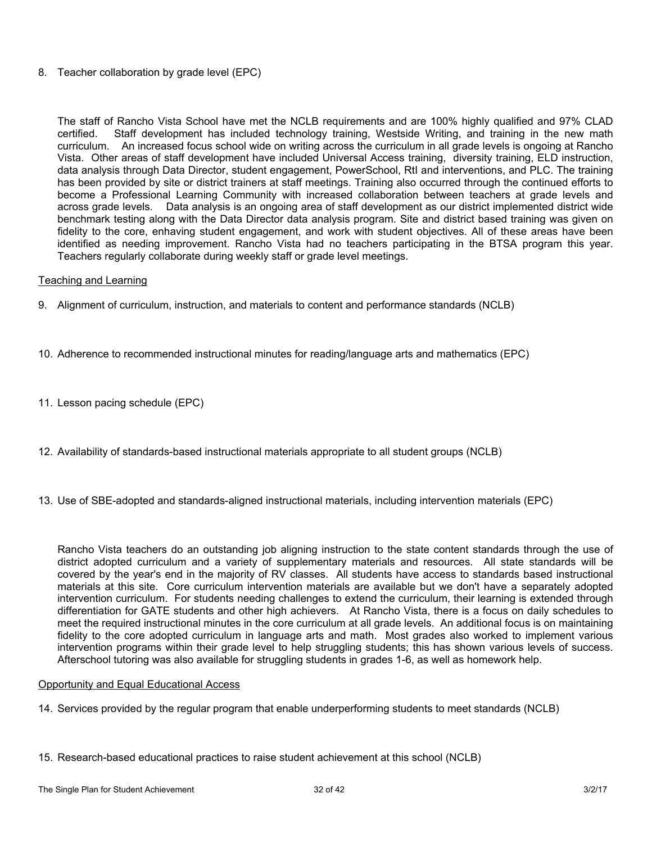### 8. Teacher collaboration by grade level (EPC)

The staff of Rancho Vista School have met the NCLB requirements and are 100% highly qualified and 97% CLAD certified. Staff development has included technology training, Westside Writing, and training in the new math curriculum. An increased focus school wide on writing across the curriculum in all grade levels is ongoing at Rancho Vista. Other areas of staff development have included Universal Access training, diversity training, ELD instruction, data analysis through Data Director, student engagement, PowerSchool, RtI and interventions, and PLC. The training has been provided by site or district trainers at staff meetings. Training also occurred through the continued efforts to become a Professional Learning Community with increased collaboration between teachers at grade levels and across grade levels. Data analysis is an ongoing area of staff development as our district implemented district wide benchmark testing along with the Data Director data analysis program. Site and district based training was given on fidelity to the core, enhaving student engagement, and work with student objectives. All of these areas have been identified as needing improvement. Rancho Vista had no teachers participating in the BTSA program this year. Teachers regularly collaborate during weekly staff or grade level meetings.

## Teaching and Learning

- 9. Alignment of curriculum, instruction, and materials to content and performance standards (NCLB)
- 10. Adherence to recommended instructional minutes for reading/language arts and mathematics (EPC)
- 11. Lesson pacing schedule (EPC)
- 12. Availability of standards-based instructional materials appropriate to all student groups (NCLB)
- 13. Use of SBE-adopted and standards-aligned instructional materials, including intervention materials (EPC)

Rancho Vista teachers do an outstanding job aligning instruction to the state content standards through the use of district adopted curriculum and a variety of supplementary materials and resources. All state standards will be covered by the year's end in the majority of RV classes. All students have access to standards based instructional materials at this site. Core curriculum intervention materials are available but we don't have a separately adopted intervention curriculum. For students needing challenges to extend the curriculum, their learning is extended through differentiation for GATE students and other high achievers. At Rancho Vista, there is a focus on daily schedules to meet the required instructional minutes in the core curriculum at all grade levels. An additional focus is on maintaining fidelity to the core adopted curriculum in language arts and math. Most grades also worked to implement various intervention programs within their grade level to help struggling students; this has shown various levels of success. Afterschool tutoring was also available for struggling students in grades 1-6, as well as homework help.

### Opportunity and Equal Educational Access

- 14. Services provided by the regular program that enable underperforming students to meet standards (NCLB)
- 15. Research-based educational practices to raise student achievement at this school (NCLB)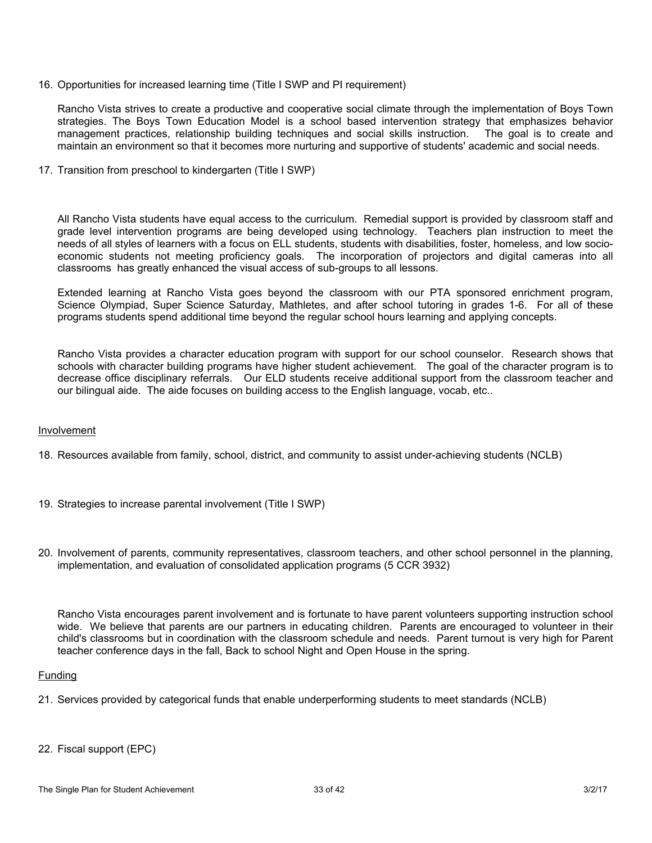16. Opportunities for increased learning time (Title I SWP and PI requirement)

Rancho Vista strives to create a productive and cooperative social climate through the implementation of Boys Town strategies. The Boys Town Education Model is a school based intervention strategy that emphasizes behavior management practices, relationship building techniques and social skills instruction. The goal is to create and maintain an environment so that it becomes more nurturing and supportive of students' academic and social needs.

17. Transition from preschool to kindergarten (Title I SWP)

All Rancho Vista students have equal access to the curriculum. Remedial support is provided by classroom staff and grade level intervention programs are being developed using technology. Teachers plan instruction to meet the needs of all styles of learners with a focus on ELL students, students with disabilities, foster, homeless, and low socioeconomic students not meeting proficiency goals. The incorporation of projectors and digital cameras into all classrooms has greatly enhanced the visual access of sub-groups to all lessons.

Extended learning at Rancho Vista goes beyond the classroom with our PTA sponsored enrichment program, Science Olympiad, Super Science Saturday, Mathletes, and after school tutoring in grades 1-6. For all of these programs students spend additional time beyond the regular school hours learning and applying concepts.

Rancho Vista provides a character education program with support for our school counselor. Research shows that schools with character building programs have higher student achievement. The goal of the character program is to decrease office disciplinary referrals. Our ELD students receive additional support from the classroom teacher and our bilingual aide. The aide focuses on building access to the English language, vocab, etc..

### Involvement

- 18. Resources available from family, school, district, and community to assist under-achieving students (NCLB)
- 19. Strategies to increase parental involvement (Title I SWP)
- 20. Involvement of parents, community representatives, classroom teachers, and other school personnel in the planning, implementation, and evaluation of consolidated application programs (5 CCR 3932)

Rancho Vista encourages parent involvement and is fortunate to have parent volunteers supporting instruction school wide. We believe that parents are our partners in educating children. Parents are encouraged to volunteer in their child's classrooms but in coordination with the classroom schedule and needs. Parent turnout is very high for Parent teacher conference days in the fall, Back to school Night and Open House in the spring.

### Funding

- 21. Services provided by categorical funds that enable underperforming students to meet standards (NCLB)
- 22. Fiscal support (EPC)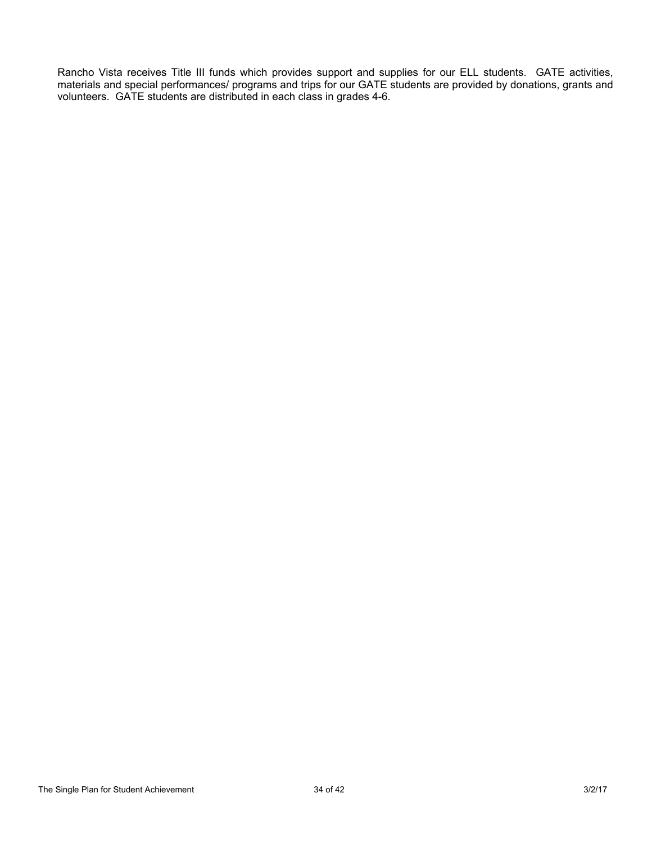Rancho Vista receives Title III funds which provides support and supplies for our ELL students. GATE activities, materials and special performances/ programs and trips for our GATE students are provided by donations, grants and volunteers. GATE students are distributed in each class in grades 4-6.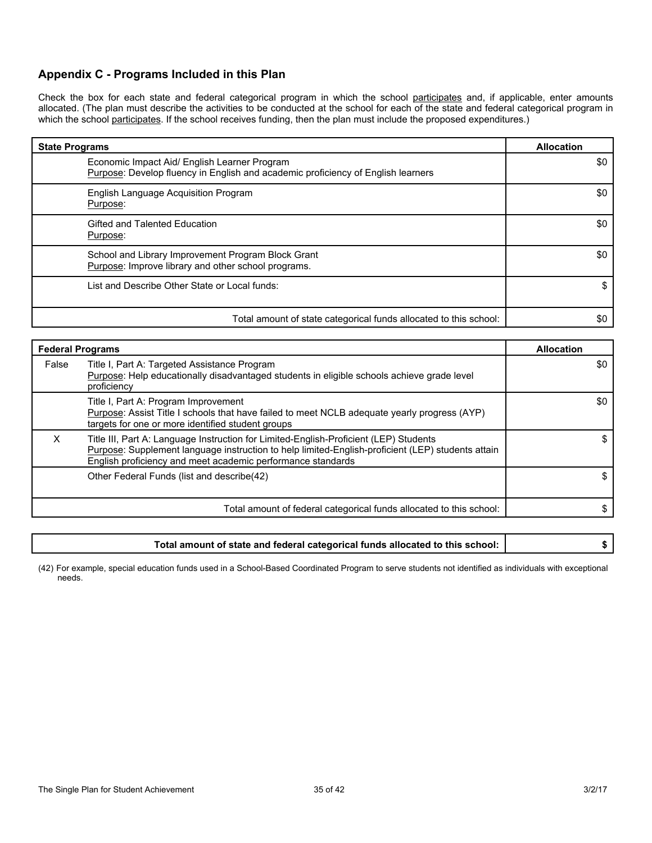## **Appendix C - Programs Included in this Plan**

Check the box for each state and federal categorical program in which the school participates and, if applicable, enter amounts allocated. (The plan must describe the activities to be conducted at the school for each of the state and federal categorical program in which the school participates. If the school receives funding, then the plan must include the proposed expenditures.)

| <b>State Programs</b>                                                                                                            | <b>Allocation</b> |
|----------------------------------------------------------------------------------------------------------------------------------|-------------------|
| Economic Impact Aid/ English Learner Program<br>Purpose: Develop fluency in English and academic proficiency of English learners | \$0               |
| English Language Acquisition Program<br>Purpose:                                                                                 | \$0               |
| Gifted and Talented Education<br>Purpose:                                                                                        | \$0               |
| School and Library Improvement Program Block Grant<br>Purpose: Improve library and other school programs.                        | \$0               |
| List and Describe Other State or Local funds:                                                                                    |                   |
| Total amount of state categorical funds allocated to this school:                                                                | \$0               |

| <b>Federal Programs</b> |                                                                                                                                                                                                                                                           | <b>Allocation</b> |
|-------------------------|-----------------------------------------------------------------------------------------------------------------------------------------------------------------------------------------------------------------------------------------------------------|-------------------|
| False                   | Title I, Part A: Targeted Assistance Program<br>Purpose: Help educationally disadvantaged students in eligible schools achieve grade level<br>proficiency                                                                                                 | \$0               |
|                         | Title I, Part A: Program Improvement<br>Purpose: Assist Title I schools that have failed to meet NCLB adequate yearly progress (AYP)<br>targets for one or more identified student groups                                                                 | \$0               |
| x                       | Title III, Part A: Language Instruction for Limited-English-Proficient (LEP) Students<br>Purpose: Supplement language instruction to help limited-English-proficient (LEP) students attain<br>English proficiency and meet academic performance standards |                   |
|                         | Other Federal Funds (list and describe (42)                                                                                                                                                                                                               |                   |
|                         | Total amount of federal categorical funds allocated to this school:                                                                                                                                                                                       |                   |

| Total amount of state and federal categorical funds allocated to this school: |  |
|-------------------------------------------------------------------------------|--|
|-------------------------------------------------------------------------------|--|

(42) For example, special education funds used in a School-Based Coordinated Program to serve students not identified as individuals with exceptional needs.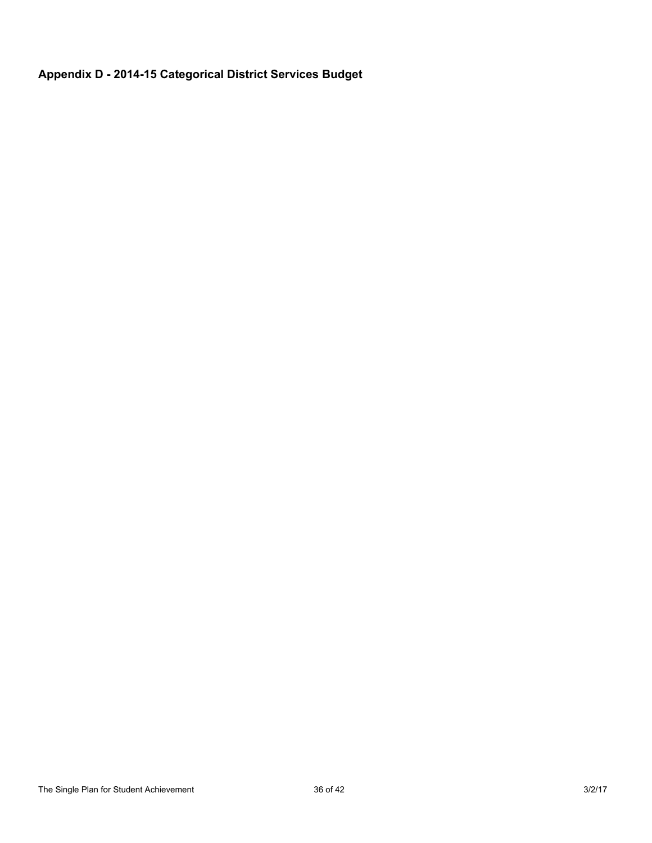# **Appendix D - 2014-15 Categorical District Services Budget**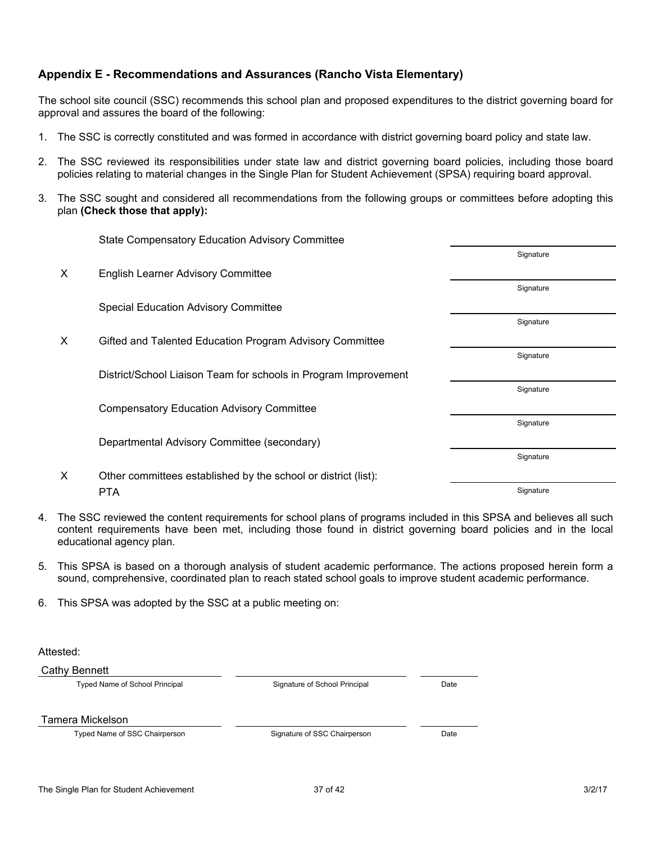# **Appendix E - Recommendations and Assurances (Rancho Vista Elementary)**

The school site council (SSC) recommends this school plan and proposed expenditures to the district governing board for approval and assures the board of the following:

- 1. The SSC is correctly constituted and was formed in accordance with district governing board policy and state law.
- 2. The SSC reviewed its responsibilities under state law and district governing board policies, including those board policies relating to material changes in the Single Plan for Student Achievement (SPSA) requiring board approval.
- 3. The SSC sought and considered all recommendations from the following groups or committees before adopting this plan **(Check those that apply):**

|   | <b>State Compensatory Education Advisory Committee</b>          |           |
|---|-----------------------------------------------------------------|-----------|
|   |                                                                 | Signature |
| X | <b>English Learner Advisory Committee</b>                       |           |
|   |                                                                 | Signature |
|   | <b>Special Education Advisory Committee</b>                     |           |
|   |                                                                 | Signature |
| X | Gifted and Talented Education Program Advisory Committee        |           |
|   |                                                                 | Signature |
|   | District/School Liaison Team for schools in Program Improvement |           |
|   |                                                                 | Signature |
|   | <b>Compensatory Education Advisory Committee</b>                |           |
|   |                                                                 | Signature |
|   | Departmental Advisory Committee (secondary)                     |           |
|   |                                                                 | Signature |
| X | Other committees established by the school or district (list):  |           |
|   | <b>PTA</b>                                                      | Signature |

- 4. The SSC reviewed the content requirements for school plans of programs included in this SPSA and believes all such content requirements have been met, including those found in district governing board policies and in the local educational agency plan.
- 5. This SPSA is based on a thorough analysis of student academic performance. The actions proposed herein form a sound, comprehensive, coordinated plan to reach stated school goals to improve student academic performance.
- 6. This SPSA was adopted by the SSC at a public meeting on:

Attested:

Cathy Bennett

Typed Name of School Principal Signature of School Principal Date

Tamera Mickelson

Typed Name of SSC Chairperson **State State State State State State State State State State State State State State State State State State State State State State State State State State State State State State State State**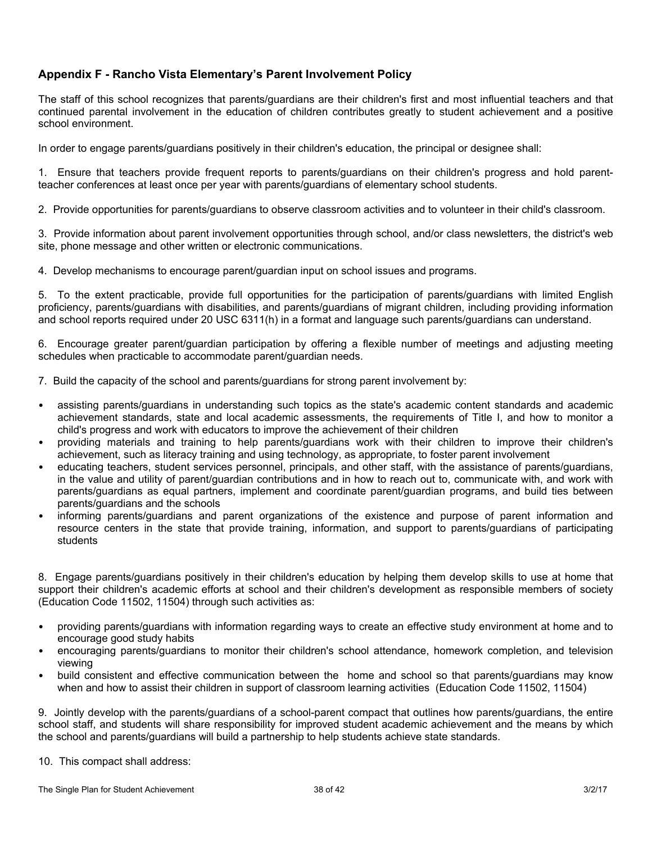# **Appendix F - Rancho Vista Elementary's Parent Involvement Policy**

The staff of this school recognizes that parents/guardians are their children's first and most influential teachers and that continued parental involvement in the education of children contributes greatly to student achievement and a positive school environment.

In order to engage parents/guardians positively in their children's education, the principal or designee shall:

1. Ensure that teachers provide frequent reports to parents/guardians on their children's progress and hold parentteacher conferences at least once per year with parents/guardians of elementary school students.

2. Provide opportunities for parents/guardians to observe classroom activities and to volunteer in their child's classroom.

3. Provide information about parent involvement opportunities through school, and/or class newsletters, the district's web site, phone message and other written or electronic communications.

4. Develop mechanisms to encourage parent/guardian input on school issues and programs.

5. To the extent practicable, provide full opportunities for the participation of parents/guardians with limited English proficiency, parents/guardians with disabilities, and parents/guardians of migrant children, including providing information and school reports required under 20 USC 6311(h) in a format and language such parents/guardians can understand.

6. Encourage greater parent/guardian participation by offering a flexible number of meetings and adjusting meeting schedules when practicable to accommodate parent/guardian needs.

7. Build the capacity of the school and parents/guardians for strong parent involvement by:

- assisting parents/guardians in understanding such topics as the state's academic content standards and academic achievement standards, state and local academic assessments, the requirements of Title I, and how to monitor a child's progress and work with educators to improve the achievement of their children
- providing materials and training to help parents/guardians work with their children to improve their children's achievement, such as literacy training and using technology, as appropriate, to foster parent involvement
- educating teachers, student services personnel, principals, and other staff, with the assistance of parents/guardians, in the value and utility of parent/guardian contributions and in how to reach out to, communicate with, and work with parents/guardians as equal partners, implement and coordinate parent/guardian programs, and build ties between parents/guardians and the schools
- informing parents/guardians and parent organizations of the existence and purpose of parent information and resource centers in the state that provide training, information, and support to parents/guardians of participating students

8. Engage parents/guardians positively in their children's education by helping them develop skills to use at home that support their children's academic efforts at school and their children's development as responsible members of society (Education Code 11502, 11504) through such activities as:

- providing parents/guardians with information regarding ways to create an effective study environment at home and to encourage good study habits
- encouraging parents/guardians to monitor their children's school attendance, homework completion, and television viewing
- build consistent and effective communication between the home and school so that parents/guardians may know when and how to assist their children in support of classroom learning activities (Education Code 11502, 11504)

9. Jointly develop with the parents/guardians of a school-parent compact that outlines how parents/guardians, the entire school staff, and students will share responsibility for improved student academic achievement and the means by which the school and parents/guardians will build a partnership to help students achieve state standards.

10. This compact shall address: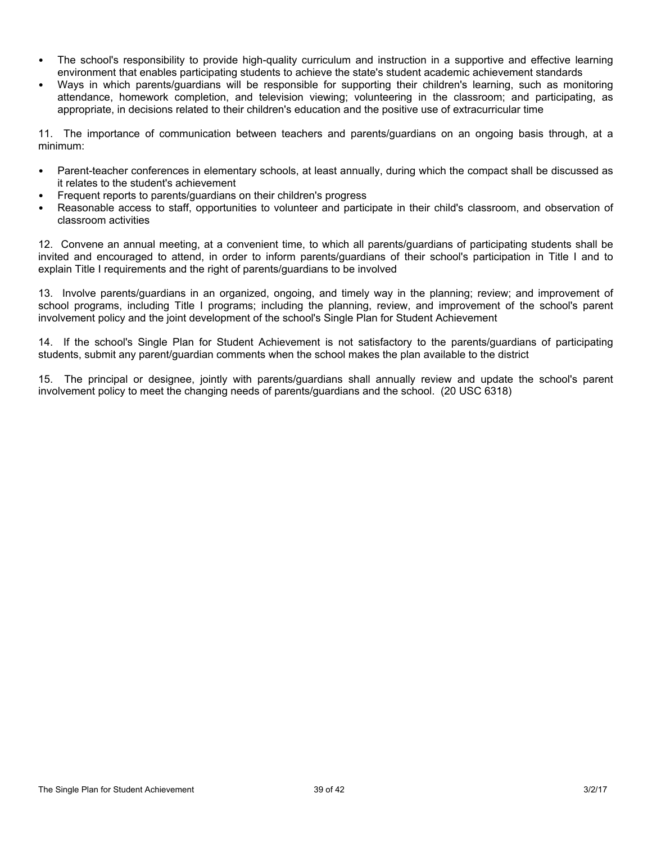- The school's responsibility to provide high-quality curriculum and instruction in a supportive and effective learning environment that enables participating students to achieve the state's student academic achievement standards
- Ways in which parents/guardians will be responsible for supporting their children's learning, such as monitoring attendance, homework completion, and television viewing; volunteering in the classroom; and participating, as appropriate, in decisions related to their children's education and the positive use of extracurricular time

11. The importance of communication between teachers and parents/guardians on an ongoing basis through, at a minimum:

- Parent-teacher conferences in elementary schools, at least annually, during which the compact shall be discussed as it relates to the student's achievement
- Frequent reports to parents/guardians on their children's progress
- Reasonable access to staff, opportunities to volunteer and participate in their child's classroom, and observation of classroom activities

12. Convene an annual meeting, at a convenient time, to which all parents/guardians of participating students shall be invited and encouraged to attend, in order to inform parents/guardians of their school's participation in Title I and to explain Title I requirements and the right of parents/guardians to be involved

13. Involve parents/guardians in an organized, ongoing, and timely way in the planning; review; and improvement of school programs, including Title I programs; including the planning, review, and improvement of the school's parent involvement policy and the joint development of the school's Single Plan for Student Achievement

14. If the school's Single Plan for Student Achievement is not satisfactory to the parents/guardians of participating students, submit any parent/guardian comments when the school makes the plan available to the district

15. The principal or designee, jointly with parents/guardians shall annually review and update the school's parent involvement policy to meet the changing needs of parents/guardians and the school. (20 USC 6318)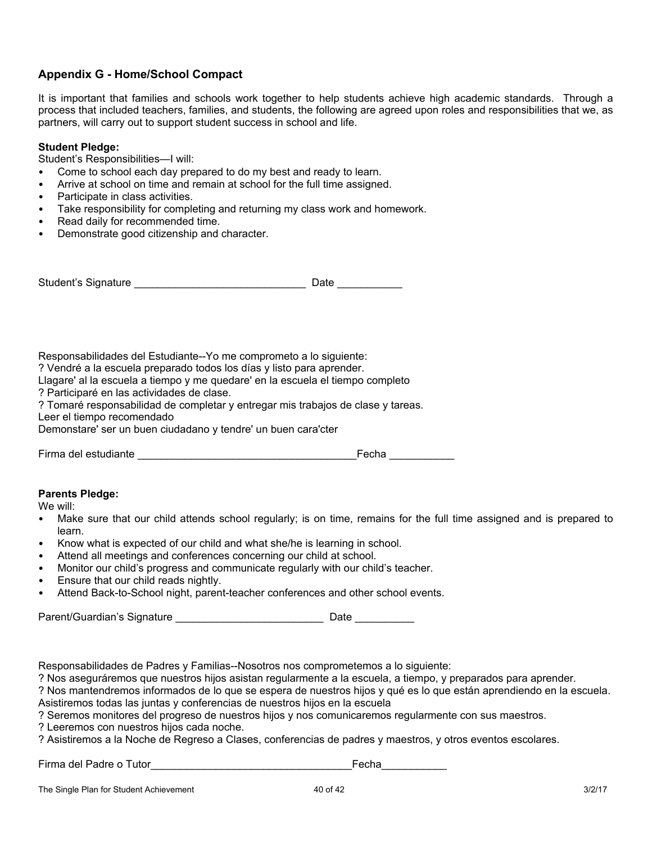# **Appendix G - Home/School Compact**

It is important that families and schools work together to help students achieve high academic standards. Through a process that included teachers, families, and students, the following are agreed upon roles and responsibilities that we, as partners, will carry out to support student success in school and life.

### **Student Pledge:**

Student's Responsibilities—I will:

- Come to school each day prepared to do my best and ready to learn.
- Arrive at school on time and remain at school for the full time assigned.
- Participate in class activities.
- Take responsibility for completing and returning my class work and homework.
- Read daily for recommended time.
- Demonstrate good citizenship and character.

| Student's Signature | Date |
|---------------------|------|
|                     |      |

Responsabilidades del Estudiante--Yo me comprometo a lo siguiente:

? Vendré a la escuela preparado todos los días y listo para aprender.

Llagare' al la escuela a tiempo y me quedare' en la escuela el tiempo completo

? Participaré en las actividades de clase.

? Tomaré responsabilidad de completar y entregar mis trabajos de clase y tareas.

Demonstare' ser un buen ciudadano y tendre' un buen cara'cter

|  | Firma del estudiante |  |
|--|----------------------|--|
|  |                      |  |

Leer el tiempo recomendado

 $Fecha$ 

### **Parents Pledge:**

We will:

- Make sure that our child attends school regularly; is on time, remains for the full time assigned and is prepared to learn.
- Know what is expected of our child and what she/he is learning in school.
- Attend all meetings and conferences concerning our child at school.
- Monitor our child's progress and communicate regularly with our child's teacher.
- Ensure that our child reads nightly.
- Attend Back-to-School night, parent-teacher conferences and other school events.

Parent/Guardian's Signature extending the state of Date Date

Responsabilidades de Padres y Familias--Nosotros nos comprometemos a lo siguiente:

? Nos aseguráremos que nuestros hijos asistan regularmente a la escuela, a tiempo, y preparados para aprender.

? Nos mantendremos informados de lo que se espera de nuestros hijos y qué es lo que están aprendiendo en la escuela. Asistiremos todas las juntas y conferencias de nuestros hijos en la escuela

? Seremos monitores del progreso de nuestros hijos y nos comunicaremos regularmente con sus maestros.

? Leeremos con nuestros hijos cada noche.

? Asistiremos a la Noche de Regreso a Clases, conferencias de padres y maestros, y otros eventos escolares.

Firma del Padre o Tutor\_\_\_\_\_\_\_\_\_\_\_\_\_\_\_\_\_\_\_\_\_\_\_\_\_\_\_\_\_\_\_\_\_\_Fecha\_\_\_\_\_\_\_\_\_\_\_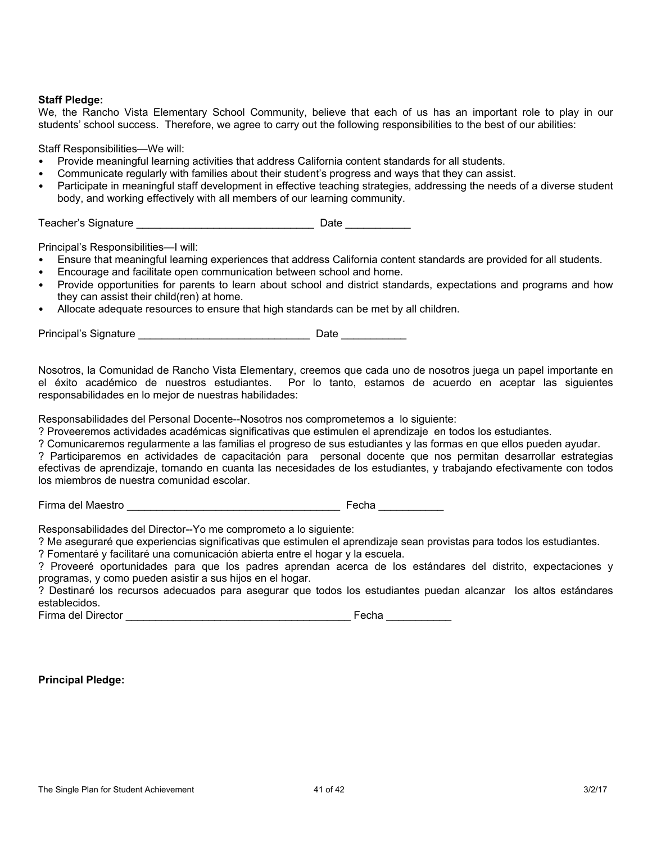### **Staff Pledge:**

We, the Rancho Vista Elementary School Community, believe that each of us has an important role to play in our students' school success. Therefore, we agree to carry out the following responsibilities to the best of our abilities:

Staff Responsibilities—We will:

- Provide meaningful learning activities that address California content standards for all students.
- Communicate regularly with families about their student's progress and ways that they can assist.
- Participate in meaningful staff development in effective teaching strategies, addressing the needs of a diverse student body, and working effectively with all members of our learning community.

Teacher's Signature \_\_\_\_\_\_\_\_\_\_\_\_\_\_\_\_\_\_\_\_\_\_\_\_\_\_\_\_\_\_ Date \_\_\_\_\_\_\_\_\_\_\_

Principal's Responsibilities—I will:

- Ensure that meaningful learning experiences that address California content standards are provided for all students.
- Encourage and facilitate open communication between school and home.
- Provide opportunities for parents to learn about school and district standards, expectations and programs and how they can assist their child(ren) at home.
- Allocate adequate resources to ensure that high standards can be met by all children.

Principal's Signature \_\_\_\_\_\_\_\_\_\_\_\_\_\_\_\_\_\_\_\_\_\_\_\_\_\_\_\_\_ Date \_\_\_\_\_\_\_\_\_\_\_

Nosotros, la Comunidad de Rancho Vista Elementary, creemos que cada uno de nosotros juega un papel importante en el éxito académico de nuestros estudiantes. Por lo tanto, estamos de acuerdo en aceptar las siguientes responsabilidades en lo mejor de nuestras habilidades:

Responsabilidades del Personal Docente--Nosotros nos comprometemos a lo siguiente:

? Proveeremos actividades académicas significativas que estimulen el aprendizaje en todos los estudiantes.

? Comunicaremos regularmente a las familias el progreso de sus estudiantes y las formas en que ellos pueden ayudar.

? Participaremos en actividades de capacitación para personal docente que nos permitan desarrollar estrategias efectivas de aprendizaje, tomando en cuanta las necesidades de los estudiantes, y trabajando efectivamente con todos los miembros de nuestra comunidad escolar.

Firma del Maestro \_\_\_\_\_\_\_\_\_\_\_\_\_\_\_\_\_\_\_\_\_\_\_\_\_\_\_\_\_\_\_\_\_\_\_\_ Fecha \_\_\_\_\_\_\_\_\_\_\_

Responsabilidades del Director--Yo me comprometo a lo siguiente:

? Me aseguraré que experiencias significativas que estimulen el aprendizaje sean provistas para todos los estudiantes.

? Fomentaré y facilitaré una comunicación abierta entre el hogar y la escuela.

? Proveeré oportunidades para que los padres aprendan acerca de los estándares del distrito, expectaciones y programas, y como pueden asistir a sus hijos en el hogar.

? Destinaré los recursos adecuados para asegurar que todos los estudiantes puedan alcanzar los altos estándares establecidos.

Firma del Director \_\_\_\_\_\_\_\_\_\_\_\_\_\_\_\_\_\_\_\_\_\_\_\_\_\_\_\_\_\_\_\_\_\_\_\_\_\_ Fecha \_\_\_\_\_\_\_\_\_\_\_

### **Principal Pledge:**